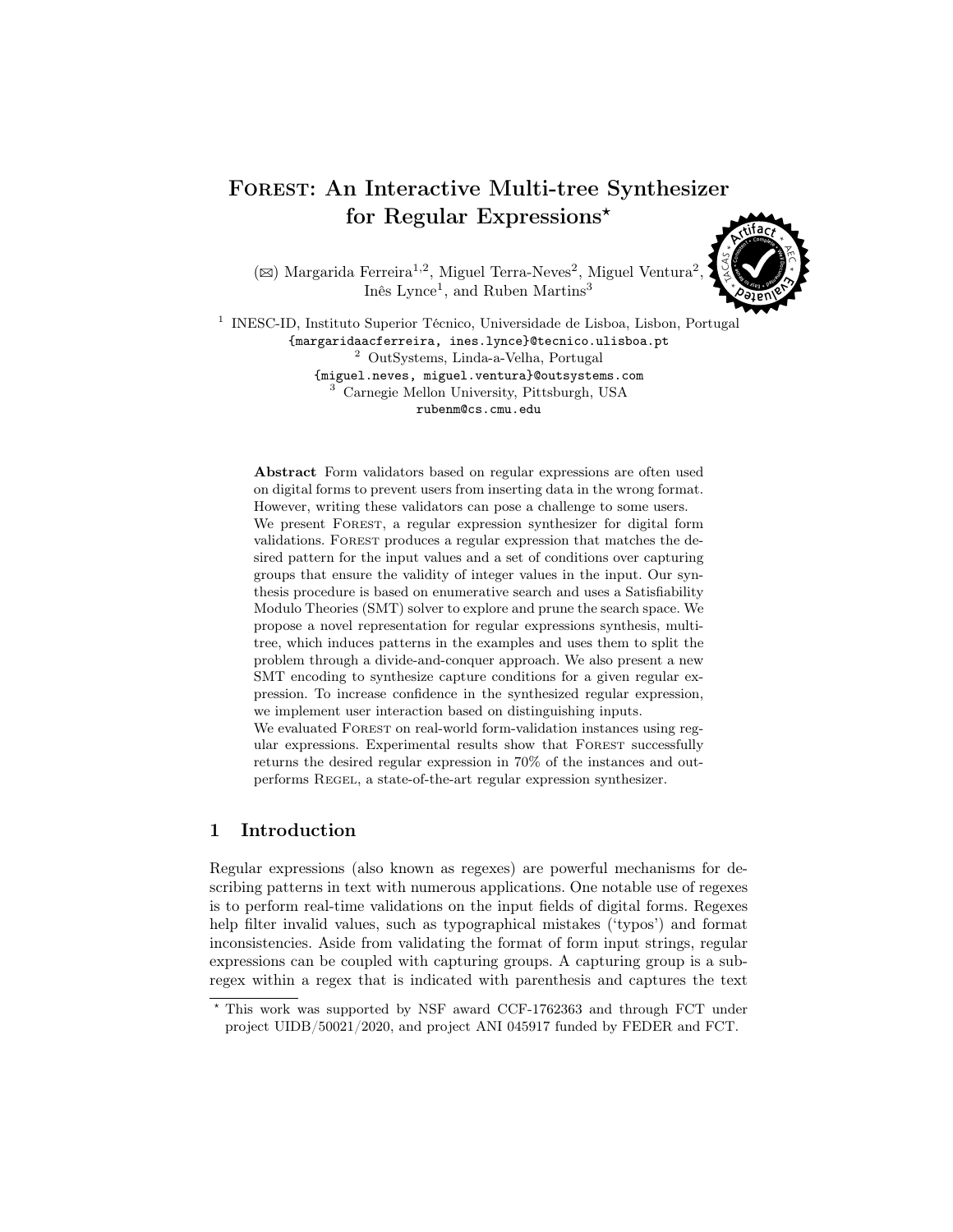# Forest: An Interactive Multi-tree Synthesizer for Regular Expressions\*

 $(\boxtimes)$  Margarida Ferreira<sup>1,2</sup>, Miguel Terra-Neves<sup>2</sup>, Miguel Ventura<sup>2</sup> Inês Lynce<sup>1</sup>, and Ruben Martins<sup>3</sup>



<sup>1</sup> INESC-ID, Instituto Superior Técnico, Universidade de Lisboa, Lisbon, Portugal {margaridaacferreira, ines.lynce}@tecnico.ulisboa.pt <sup>2</sup> OutSystems, Linda-a-Velha, Portugal {miguel.neves, miguel.ventura}@outsystems.com <sup>3</sup> Carnegie Mellon University, Pittsburgh, USA rubenm@cs.cmu.edu

Abstract Form validators based on regular expressions are often used on digital forms to prevent users from inserting data in the wrong format. However, writing these validators can pose a challenge to some users. We present FOREST, a regular expression synthesizer for digital form validations. Forest produces a regular expression that matches the desired pattern for the input values and a set of conditions over capturing groups that ensure the validity of integer values in the input. Our synthesis procedure is based on enumerative search and uses a Satisfiability Modulo Theories (SMT) solver to explore and prune the search space. We propose a novel representation for regular expressions synthesis, multitree, which induces patterns in the examples and uses them to split the problem through a divide-and-conquer approach. We also present a new SMT encoding to synthesize capture conditions for a given regular expression. To increase confidence in the synthesized regular expression, we implement user interaction based on distinguishing inputs.

We evaluated FOREST on real-world form-validation instances using regular expressions. Experimental results show that FOREST successfully returns the desired regular expression in 70% of the instances and outperforms Regel, a state-of-the-art regular expression synthesizer.

# 1 Introduction

Regular expressions (also known as regexes) are powerful mechanisms for describing patterns in text with numerous applications. One notable use of regexes is to perform real-time validations on the input fields of digital forms. Regexes help filter invalid values, such as typographical mistakes ('typos') and format inconsistencies. Aside from validating the format of form input strings, regular expressions can be coupled with capturing groups. A capturing group is a subregex within a regex that is indicated with parenthesis and captures the text

<sup>?</sup> This work was supported by NSF award CCF-1762363 and through FCT under project UIDB/50021/2020, and project ANI 045917 funded by FEDER and FCT.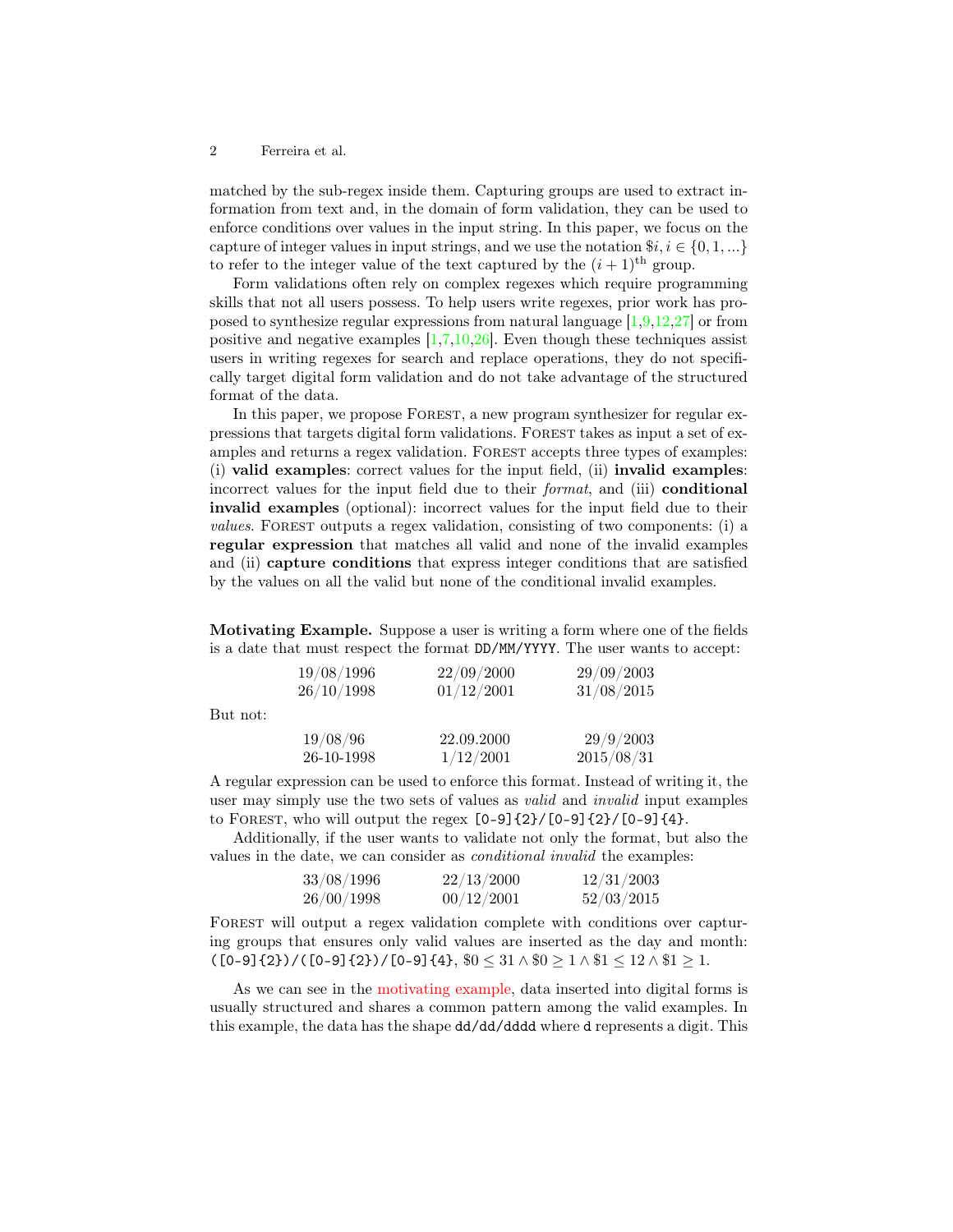matched by the sub-regex inside them. Capturing groups are used to extract information from text and, in the domain of form validation, they can be used to enforce conditions over values in the input string. In this paper, we focus on the capture of integer values in input strings, and we use the notation  $\hat{\mathbf{x}}_i, i \in \{0, 1, ...\}$ to refer to the integer value of the text captured by the  $(i+1)$ <sup>th</sup> group.

Form validations often rely on complex regexes which require programming skills that not all users possess. To help users write regexes, prior work has proposed to synthesize regular expressions from natural language  $[1,9,12,27]$  $[1,9,12,27]$  $[1,9,12,27]$  $[1,9,12,27]$  or from positive and negative examples  $[1,7,10,26]$  $[1,7,10,26]$  $[1,7,10,26]$  $[1,7,10,26]$ . Even though these techniques assist users in writing regexes for search and replace operations, they do not specifically target digital form validation and do not take advantage of the structured format of the data.

In this paper, we propose Forest, a new program synthesizer for regular expressions that targets digital form validations. FOREST takes as input a set of examples and returns a regex validation. FOREST accepts three types of examples: (i) valid examples: correct values for the input field, (ii) invalid examples: incorrect values for the input field due to their *format*, and (iii) **conditional** invalid examples (optional): incorrect values for the input field due to their values. Forest outputs a regex validation, consisting of two components: (i) a regular expression that matches all valid and none of the invalid examples and (ii) capture conditions that express integer conditions that are satisfied by the values on all the valid but none of the conditional invalid examples.

<span id="page-1-0"></span>Motivating Example. Suppose a user is writing a form where one of the fields is a date that must respect the format DD/MM/YYYY. The user wants to accept:

|          | 19/08/1996<br>26/10/1998 | 22/09/2000<br>01/12/2001 | 29/09/2003<br>31/08/2015 |
|----------|--------------------------|--------------------------|--------------------------|
| But not: |                          |                          |                          |
|          | 19/08/96                 | 22.09.2000               | 29/9/2003                |
|          | 26-10-1998               | 1/12/2001                | 2015/08/31               |

A regular expression can be used to enforce this format. Instead of writing it, the user may simply use the two sets of values as valid and invalid input examples to FOREST, who will output the regex  $[0-9]{2}$  (0-9] ${2}$  (0-9] ${4}$ .

Additionally, if the user wants to validate not only the format, but also the values in the date, we can consider as conditional invalid the examples:

| 33/08/1996 | 22/13/2000 | 12/31/2003 |
|------------|------------|------------|
| 26/00/1998 | 00/12/2001 | 52/03/2015 |

FOREST will output a regex validation complete with conditions over capturing groups that ensures only valid values are inserted as the day and month:  $($ [0-9]{2})/([0-9]{2})/[0-9]{4},  $$0 \lt 31 \land $0 \gt 1 \land $1 \lt 12 \land $1 \gt 1$ .

As we can see in the [motivating example,](#page-1-0) data inserted into digital forms is usually structured and shares a common pattern among the valid examples. In this example, the data has the shape dd/dd/dddd where d represents a digit. This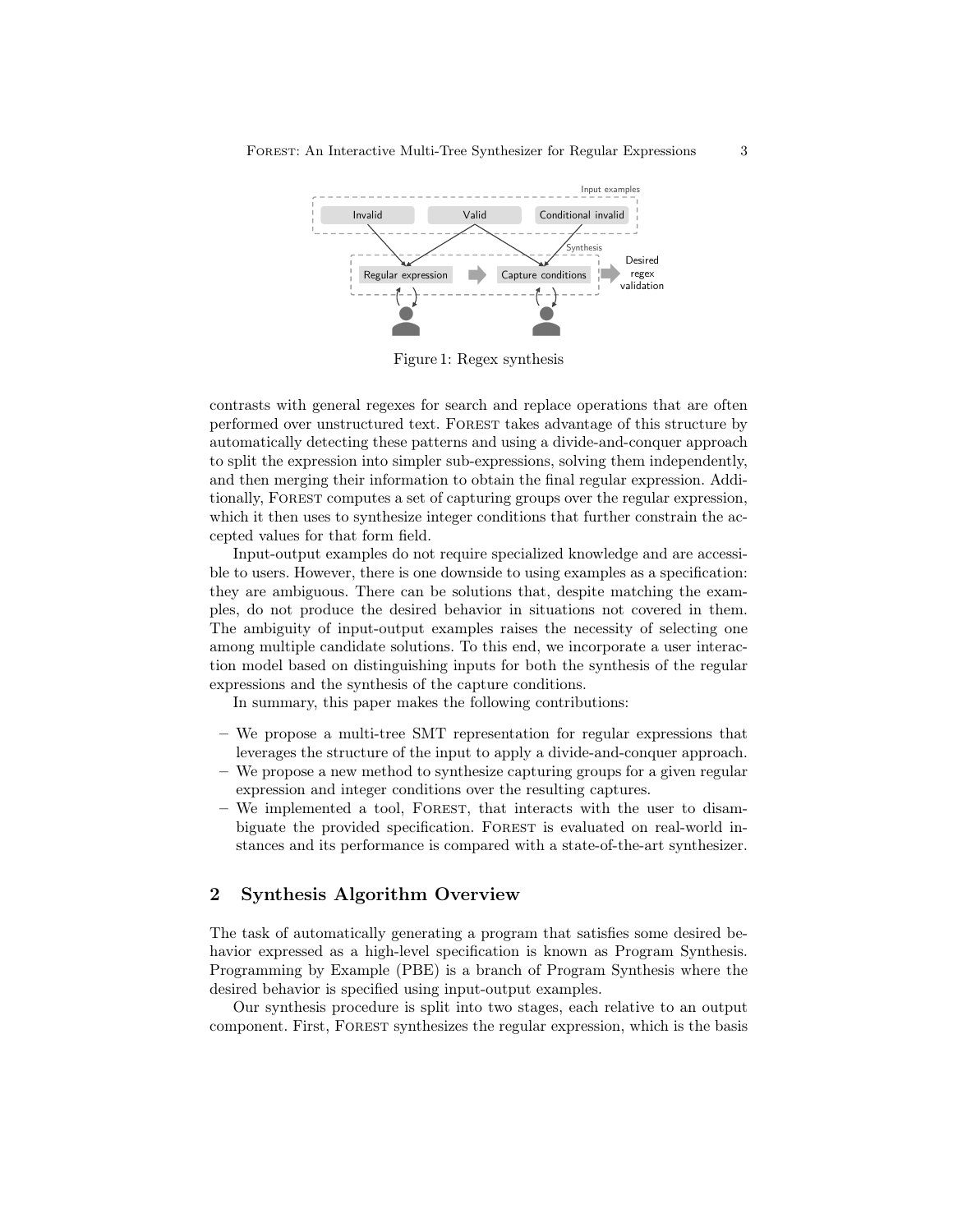<span id="page-2-0"></span>

Figure 1: Regex synthesis

contrasts with general regexes for search and replace operations that are often performed over unstructured text. Forest takes advantage of this structure by automatically detecting these patterns and using a divide-and-conquer approach to split the expression into simpler sub-expressions, solving them independently, and then merging their information to obtain the final regular expression. Additionally, FOREST computes a set of capturing groups over the regular expression, which it then uses to synthesize integer conditions that further constrain the accepted values for that form field.

Input-output examples do not require specialized knowledge and are accessible to users. However, there is one downside to using examples as a specification: they are ambiguous. There can be solutions that, despite matching the examples, do not produce the desired behavior in situations not covered in them. The ambiguity of input-output examples raises the necessity of selecting one among multiple candidate solutions. To this end, we incorporate a user interaction model based on distinguishing inputs for both the synthesis of the regular expressions and the synthesis of the capture conditions.

In summary, this paper makes the following contributions:

- We propose a multi-tree SMT representation for regular expressions that leverages the structure of the input to apply a divide-and-conquer approach. – We propose a new method to synthesize capturing groups for a given regular
- expression and integer conditions over the resulting captures.
- We implemented a tool, Forest, that interacts with the user to disambiguate the provided specification. FOREST is evaluated on real-world instances and its performance is compared with a state-of-the-art synthesizer.

## 2 Synthesis Algorithm Overview

The task of automatically generating a program that satisfies some desired behavior expressed as a high-level specification is known as Program Synthesis. Programming by Example (PBE) is a branch of Program Synthesis where the desired behavior is specified using input-output examples.

Our synthesis procedure is split into two stages, each relative to an output component. First, Forest synthesizes the regular expression, which is the basis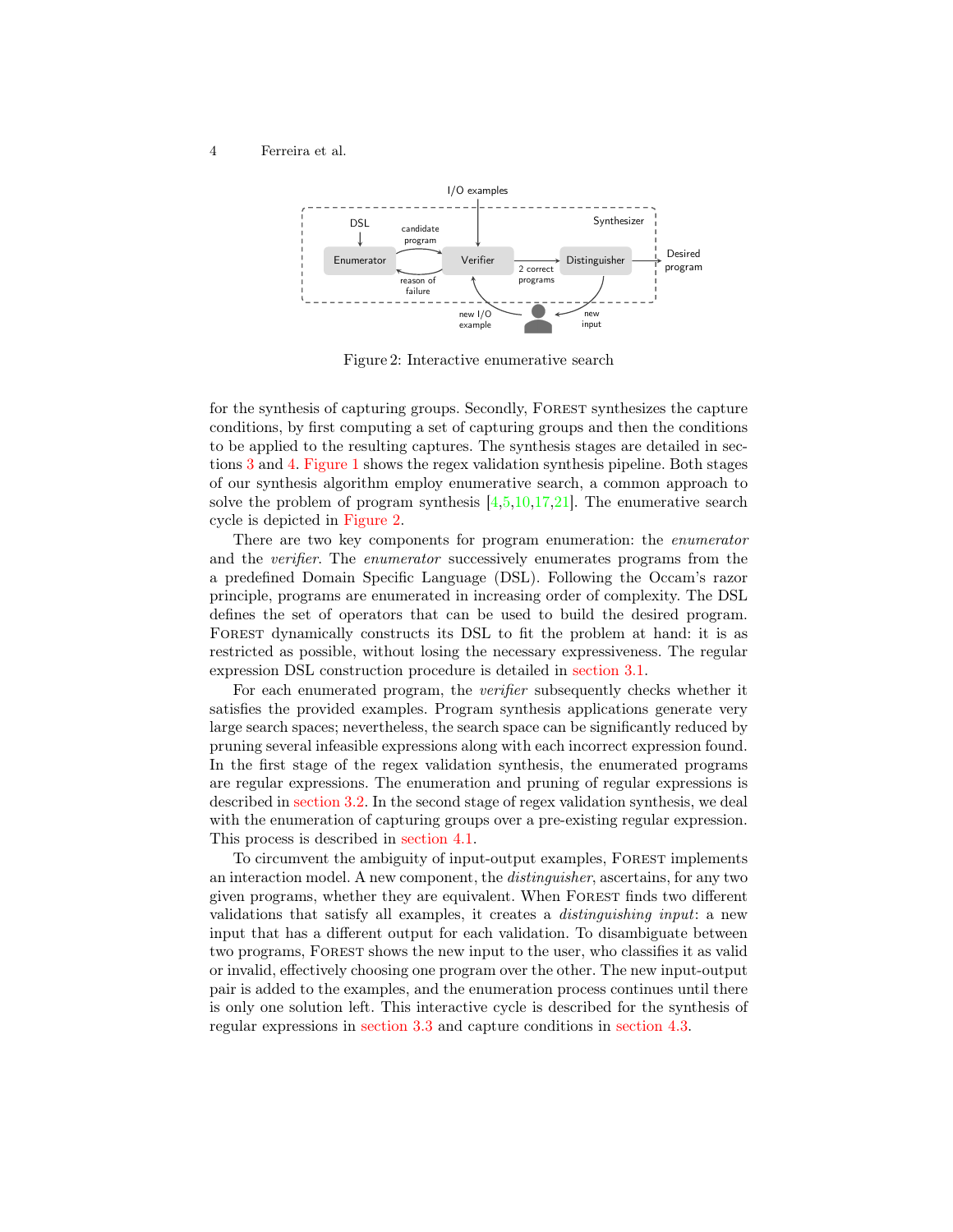<span id="page-3-0"></span>

Figure 2: Interactive enumerative search

for the synthesis of capturing groups. Secondly, Forest synthesizes the capture conditions, by first computing a set of capturing groups and then the conditions to be applied to the resulting captures. The synthesis stages are detailed in sections [3](#page-4-0) and [4.](#page-7-0) [Figure 1](#page-2-0) shows the regex validation synthesis pipeline. Both stages of our synthesis algorithm employ enumerative search, a common approach to solve the problem of program synthesis  $[4,5,10,17,21]$  $[4,5,10,17,21]$  $[4,5,10,17,21]$  $[4,5,10,17,21]$  $[4,5,10,17,21]$ . The enumerative search cycle is depicted in [Figure 2.](#page-3-0)

There are two key components for program enumeration: the enumerator and the verifier. The enumerator successively enumerates programs from the a predefined Domain Specific Language (DSL). Following the Occam's razor principle, programs are enumerated in increasing order of complexity. The DSL defines the set of operators that can be used to build the desired program. Forest dynamically constructs its DSL to fit the problem at hand: it is as restricted as possible, without losing the necessary expressiveness. The regular expression DSL construction procedure is detailed in [section 3.1.](#page-4-1)

For each enumerated program, the verifier subsequently checks whether it satisfies the provided examples. Program synthesis applications generate very large search spaces; nevertheless, the search space can be significantly reduced by pruning several infeasible expressions along with each incorrect expression found. In the first stage of the regex validation synthesis, the enumerated programs are regular expressions. The enumeration and pruning of regular expressions is described in [section 3.2.](#page-4-2) In the second stage of regex validation synthesis, we deal with the enumeration of capturing groups over a pre-existing regular expression. This process is described in [section 4.1.](#page-7-1)

To circumvent the ambiguity of input-output examples, Forest implements an interaction model. A new component, the distinguisher, ascertains, for any two given programs, whether they are equivalent. When Forest finds two different validations that satisfy all examples, it creates a distinguishing input: a new input that has a different output for each validation. To disambiguate between two programs, Forest shows the new input to the user, who classifies it as valid or invalid, effectively choosing one program over the other. The new input-output pair is added to the examples, and the enumeration process continues until there is only one solution left. This interactive cycle is described for the synthesis of regular expressions in [section 3.3](#page-7-2) and capture conditions in [section 4.3.](#page-9-0)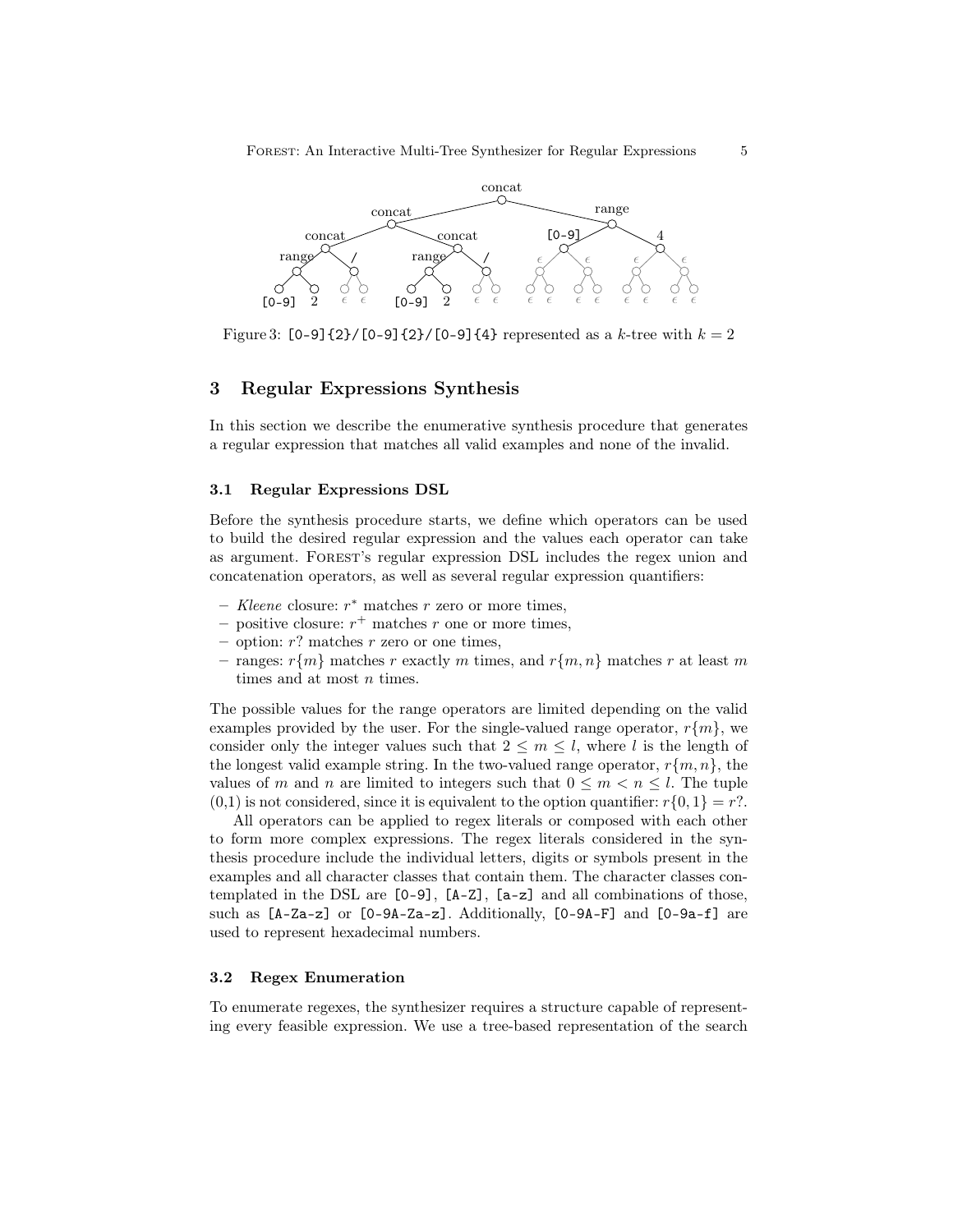<span id="page-4-3"></span>

Figure 3:  $[0-9]{2}/[0-9]{2}/[0-9]{4}$  represented as a k-tree with  $k = 2$ 

## <span id="page-4-0"></span>3 Regular Expressions Synthesis

In this section we describe the enumerative synthesis procedure that generates a regular expression that matches all valid examples and none of the invalid.

#### <span id="page-4-1"></span>3.1 Regular Expressions DSL

Before the synthesis procedure starts, we define which operators can be used to build the desired regular expression and the values each operator can take as argument. Forest's regular expression DSL includes the regex union and concatenation operators, as well as several regular expression quantifiers:

- $-$  Kleene closure:  $r^*$  matches r zero or more times,
- positive closure:  $r^+$  matches r one or more times,
- option:  $r$ ? matches  $r$  zero or one times,
- ranges:  $r{m}$  matches r exactly m times, and  $r{m,n}$  matches r at least m times and at most *n* times.

The possible values for the range operators are limited depending on the valid examples provided by the user. For the single-valued range operator,  $r{m}$ , we consider only the integer values such that  $2 \leq m \leq l$ , where l is the length of the longest valid example string. In the two-valued range operator,  $r{m, n}$ , the values of m and n are limited to integers such that  $0 \le m \le n \le l$ . The tuple  $(0,1)$  is not considered, since it is equivalent to the option quantifier:  $r\{0,1\} = r$ ?.

All operators can be applied to regex literals or composed with each other to form more complex expressions. The regex literals considered in the synthesis procedure include the individual letters, digits or symbols present in the examples and all character classes that contain them. The character classes contemplated in the DSL are [0-9], [A-Z], [a-z] and all combinations of those, such as [A-Za-z] or [0-9A-Za-z]. Additionally, [0-9A-F] and [0-9a-f] are used to represent hexadecimal numbers.

#### <span id="page-4-2"></span>3.2 Regex Enumeration

To enumerate regexes, the synthesizer requires a structure capable of representing every feasible expression. We use a tree-based representation of the search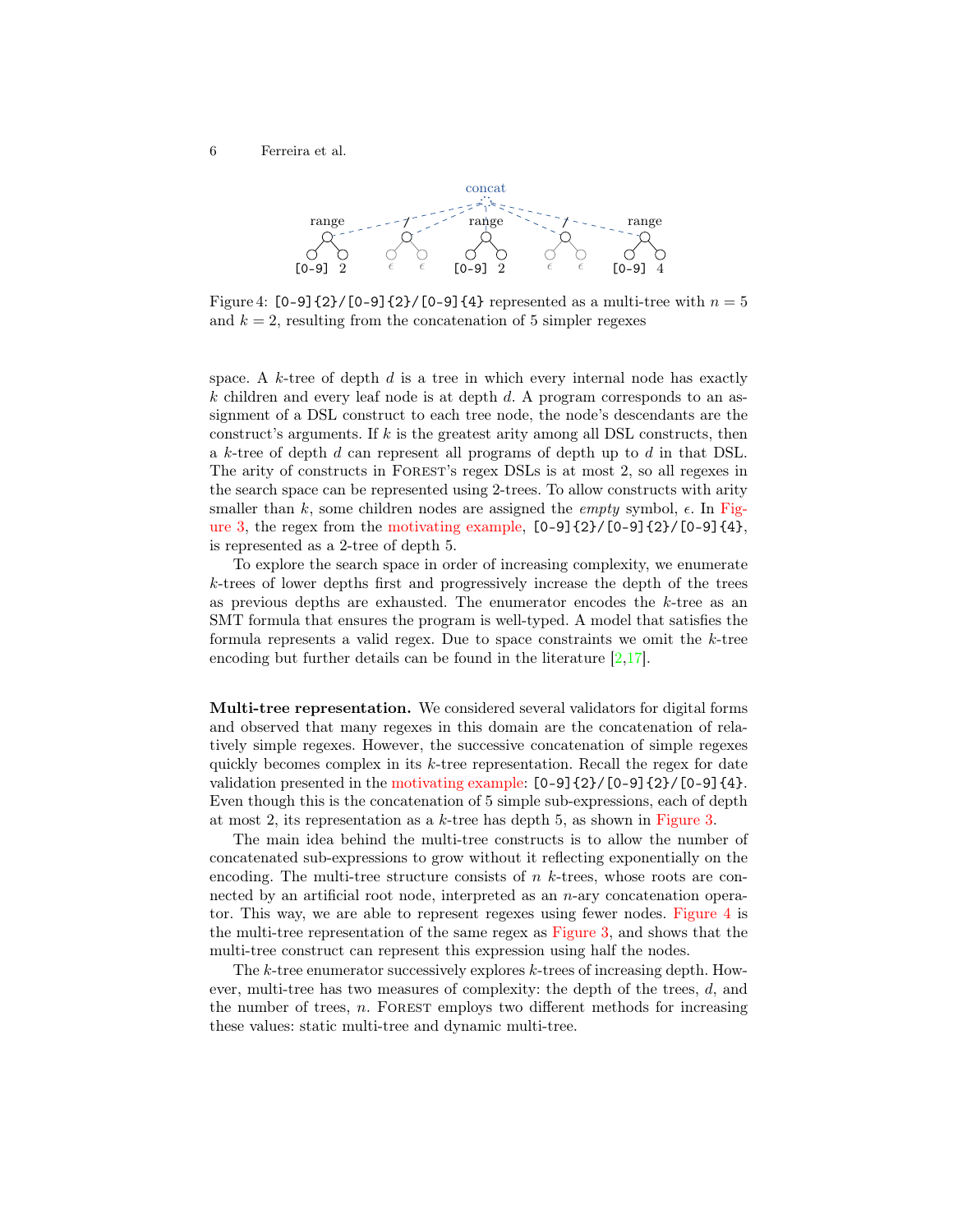<span id="page-5-0"></span>

Figure 4:  $[0-9]{2}/[0-9]{2}/[0-9]{2}$  [0-9]  $[4]$  represented as a multi-tree with  $n = 5$ and  $k = 2$ , resulting from the concatenation of 5 simpler regexes

space. A  $k$ -tree of depth  $d$  is a tree in which every internal node has exactly  $k$  children and every leaf node is at depth d. A program corresponds to an assignment of a DSL construct to each tree node, the node's descendants are the construct's arguments. If  $k$  is the greatest arity among all DSL constructs, then a k-tree of depth d can represent all programs of depth up to d in that DSL. The arity of constructs in Forest's regex DSLs is at most 2, so all regexes in the search space can be represented using 2-trees. To allow constructs with arity smaller than k, some children nodes are assigned the *empty* symbol,  $\epsilon$ . In [Fig](#page-4-3)[ure 3,](#page-4-3) the regex from the [motivating example,](#page-1-0)  $[0-9]$  $\{2\}/[0-9]$  $\{2\}/[0-9]$  $\{4\}$ , is represented as a 2-tree of depth 5.

To explore the search space in order of increasing complexity, we enumerate k-trees of lower depths first and progressively increase the depth of the trees as previous depths are exhausted. The enumerator encodes the k-tree as an SMT formula that ensures the program is well-typed. A model that satisfies the formula represents a valid regex. Due to space constraints we omit the  $k$ -tree encoding but further details can be found in the literature  $[2,17]$  $[2,17]$ .

Multi-tree representation. We considered several validators for digital forms and observed that many regexes in this domain are the concatenation of relatively simple regexes. However, the successive concatenation of simple regexes quickly becomes complex in its  $k$ -tree representation. Recall the regex for date validation presented in the [motivating example:](#page-1-0)  $[0-9]{2}/[0-9]{2}/[0-9]{4}.$ Even though this is the concatenation of 5 simple sub-expressions, each of depth at most 2, its representation as a  $k$ -tree has depth 5, as shown in [Figure 3.](#page-4-3)

The main idea behind the multi-tree constructs is to allow the number of concatenated sub-expressions to grow without it reflecting exponentially on the encoding. The multi-tree structure consists of  $n \, k$ -trees, whose roots are connected by an artificial root node, interpreted as an  $n$ -ary concatenation operator. This way, we are able to represent regexes using fewer nodes. [Figure 4](#page-5-0) is the multi-tree representation of the same regex as [Figure 3,](#page-4-3) and shows that the multi-tree construct can represent this expression using half the nodes.

The k-tree enumerator successively explores k-trees of increasing depth. However, multi-tree has two measures of complexity: the depth of the trees,  $d$ , and the number of trees,  $n$ . FOREST employs two different methods for increasing these values: static multi-tree and dynamic multi-tree.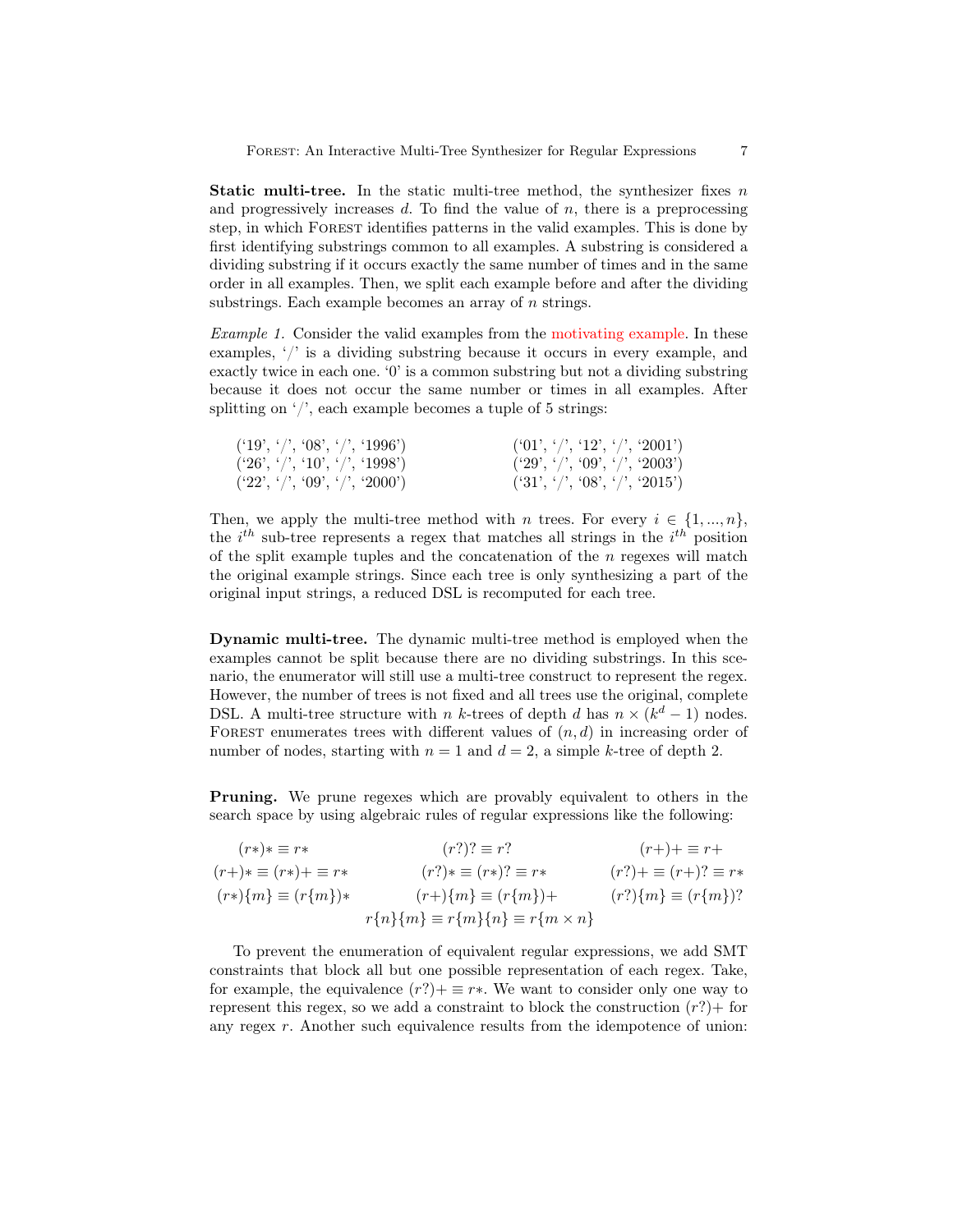<span id="page-6-1"></span>**Static multi-tree.** In the static multi-tree method, the synthesizer fixes  $n$ and progressively increases  $d$ . To find the value of  $n$ , there is a preprocessing step, in which Forest identifies patterns in the valid examples. This is done by first identifying substrings common to all examples. A substring is considered a dividing substring if it occurs exactly the same number of times and in the same order in all examples. Then, we split each example before and after the dividing substrings. Each example becomes an array of *n* strings.

Example 1. Consider the valid examples from the [motivating example.](#page-1-0) In these examples, '/' is a dividing substring because it occurs in every example, and exactly twice in each one. '0' is a common substring but not a dividing substring because it does not occur the same number or times in all examples. After splitting on  $\frac{1}{2}$ , each example becomes a tuple of 5 strings:

| ('19', ')', '08', ')', '1996') | $(01', \frac{1}{2}, \frac{12}{2}, \frac{1}{2}, \frac{2001}{2})$ |
|--------------------------------|-----------------------------------------------------------------|
| ('26', ')', '10', ')', '1998') | (29', 7', 09', 7', 2003')                                       |
| ('22', ')', '09', ')', '2000') | ('31', '/', '08', '/', '2015')                                  |

Then, we apply the multi-tree method with n trees. For every  $i \in \{1, ..., n\}$ , the  $i^{th}$  sub-tree represents a regex that matches all strings in the  $i^{th}$  position of the split example tuples and the concatenation of the  $n$  regexes will match the original example strings. Since each tree is only synthesizing a part of the original input strings, a reduced DSL is recomputed for each tree.

Dynamic multi-tree. The dynamic multi-tree method is employed when the examples cannot be split because there are no dividing substrings. In this scenario, the enumerator will still use a multi-tree construct to represent the regex. However, the number of trees is not fixed and all trees use the original, complete DSL. A multi-tree structure with n k-trees of depth d has  $n \times (k^d - 1)$  nodes. FOREST enumerates trees with different values of  $(n, d)$  in increasing order of number of nodes, starting with  $n = 1$  and  $d = 2$ , a simple k-tree of depth 2.

<span id="page-6-0"></span>Pruning. We prune regexes which are provably equivalent to others in the search space by using algebraic rules of regular expressions like the following:

| $(r*)^* \equiv r*$                       | $(r?)$ ? $\equiv r$ ?                                   | $(r+) + \equiv r+$               |
|------------------------------------------|---------------------------------------------------------|----------------------------------|
| $(r+)$ * $\equiv$ $(r*)$ + $\equiv$ $r*$ | $(r?)^* \equiv (r*)^2 \equiv r*$                        | $(r?) + \equiv (r+) ? \equiv r*$ |
| $(r*)\{m\} \equiv (r\{m\})*$             | $(r+)$ {m} $\equiv (r{m})+$                             | $(r?)\{m\} \equiv (r\{m\})$ ?    |
|                                          | $r\{n\}\{m\} \equiv r\{m\}\{n\} \equiv r\{m \times n\}$ |                                  |

To prevent the enumeration of equivalent regular expressions, we add SMT constraints that block all but one possible representation of each regex. Take, for example, the equivalence  $(r?) + \equiv r *$ . We want to consider only one way to represent this regex, so we add a constraint to block the construction  $(r?)+$  for any regex  $r$ . Another such equivalence results from the idempotence of union: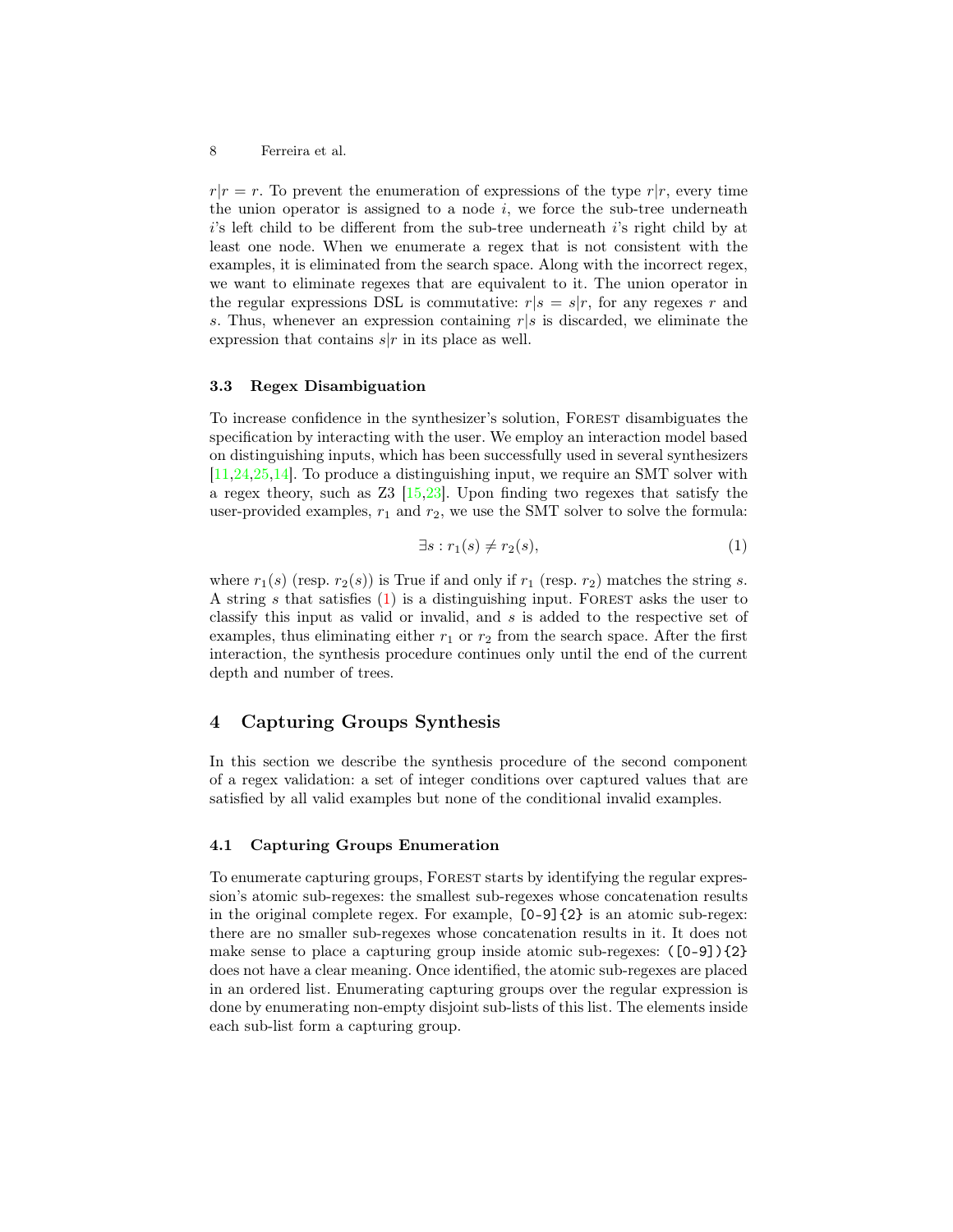$r|r = r$ . To prevent the enumeration of expressions of the type  $r|r$ , every time the union operator is assigned to a node  $i$ , we force the sub-tree underneath  $i$ 's left child to be different from the sub-tree underneath  $i$ 's right child by at least one node. When we enumerate a regex that is not consistent with the examples, it is eliminated from the search space. Along with the incorrect regex, we want to eliminate regexes that are equivalent to it. The union operator in the regular expressions DSL is commutative:  $r|s = s|r$ , for any regexes r and s. Thus, whenever an expression containing  $r|s$  is discarded, we eliminate the expression that contains  $s|r$  in its place as well.

#### <span id="page-7-2"></span>3.3 Regex Disambiguation

To increase confidence in the synthesizer's solution, FOREST disambiguates the specification by interacting with the user. We employ an interaction model based on distinguishing inputs, which has been successfully used in several synthesizers [\[11](#page-16-10)[,24](#page-17-2)[,25,](#page-17-3)[14\]](#page-16-11). To produce a distinguishing input, we require an SMT solver with a regex theory, such as Z3 [\[15,](#page-16-12)[23\]](#page-17-4). Upon finding two regexes that satisfy the user-provided examples,  $r_1$  and  $r_2$ , we use the SMT solver to solve the formula:

<span id="page-7-3"></span>
$$
\exists s : r_1(s) \neq r_2(s), \tag{1}
$$

where  $r_1(s)$  (resp.  $r_2(s)$ ) is True if and only if  $r_1$  (resp.  $r_2$ ) matches the string s. A string s that satisfies  $(1)$  is a distinguishing input. FOREST asks the user to classify this input as valid or invalid, and s is added to the respective set of examples, thus eliminating either  $r_1$  or  $r_2$  from the search space. After the first interaction, the synthesis procedure continues only until the end of the current depth and number of trees.

## <span id="page-7-0"></span>4 Capturing Groups Synthesis

In this section we describe the synthesis procedure of the second component of a regex validation: a set of integer conditions over captured values that are satisfied by all valid examples but none of the conditional invalid examples.

## <span id="page-7-1"></span>4.1 Capturing Groups Enumeration

To enumerate capturing groups, FOREST starts by identifying the regular expression's atomic sub-regexes: the smallest sub-regexes whose concatenation results in the original complete regex. For example, [0-9]{2} is an atomic sub-regex: there are no smaller sub-regexes whose concatenation results in it. It does not make sense to place a capturing group inside atomic sub-regexes:  $(0-9)$   $(2)$ does not have a clear meaning. Once identified, the atomic sub-regexes are placed in an ordered list. Enumerating capturing groups over the regular expression is done by enumerating non-empty disjoint sub-lists of this list. The elements inside each sub-list form a capturing group.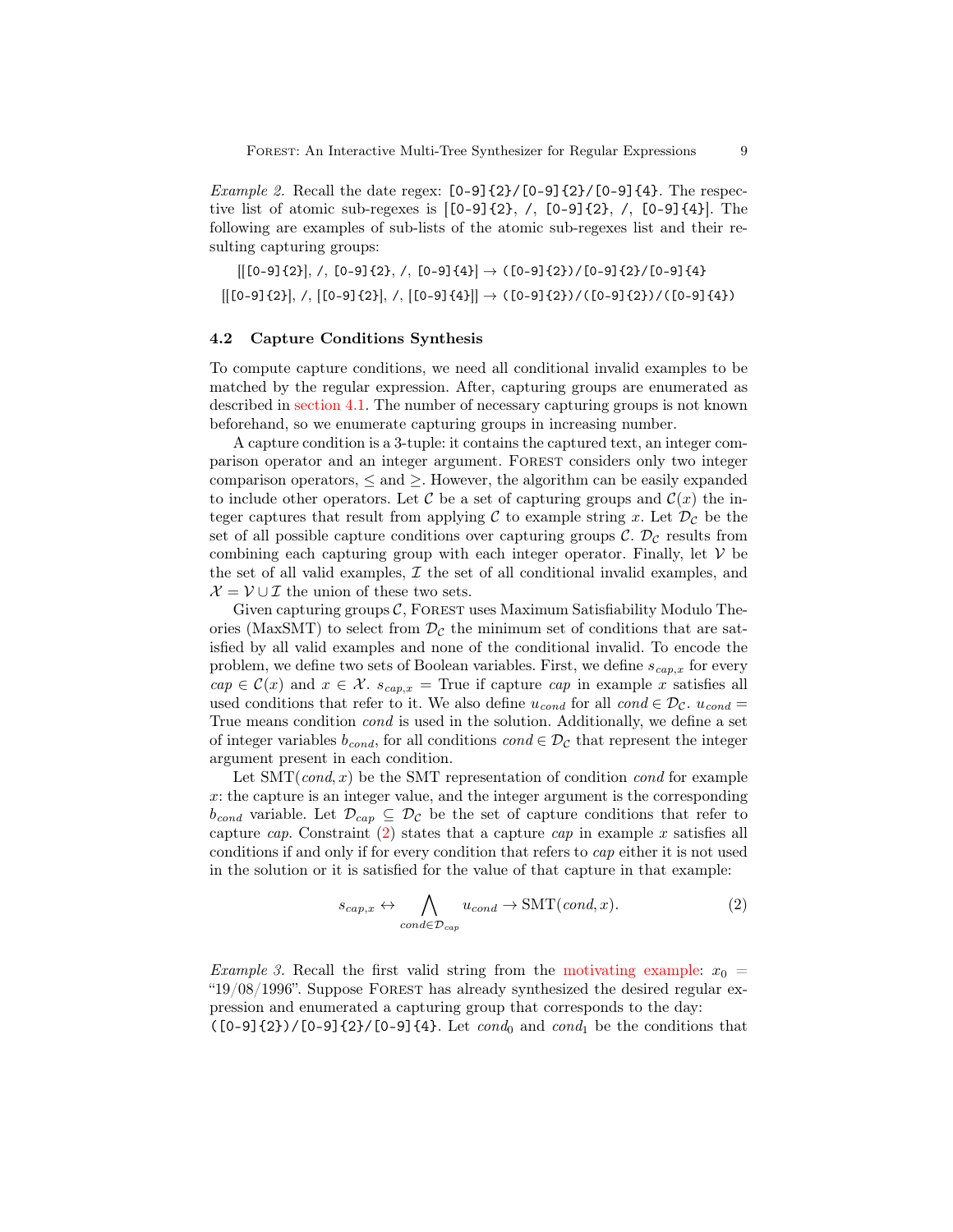*Example 2.* Recall the date regex:  $[0-9]{2}/[0-9]{2}$  [2}/ $[0-9]{4}$ . The respective list of atomic sub-regexes is  $[0-9] \{2\}$ ,  $\ell$ ,  $[0-9] \{2\}$ ,  $\ell$ ,  $[0-9] \{4\}$ . The following are examples of sub-lists of the atomic sub-regexes list and their resulting capturing groups:

 $[[[0-9]\{2\}], \ /$ ,  $[0-9]\{2\}, \ /$ ,  $[0-9]\{4\}] \rightarrow ([0-9]\{2\})/[0-9]\{2\}/[0-9]\{4\}$  $[[[0-9]\{2\}], \, /, \, [0-9]\{2\}], \, /, \, [0-9]\{4\}] \rightarrow (0-9]\{2\}) / (0-9]\{2\}) / (0-9]\{4\})$ 

#### 4.2 Capture Conditions Synthesis

To compute capture conditions, we need all conditional invalid examples to be matched by the regular expression. After, capturing groups are enumerated as described in [section 4.1.](#page-7-1) The number of necessary capturing groups is not known beforehand, so we enumerate capturing groups in increasing number.

A capture condition is a 3-tuple: it contains the captured text, an integer comparison operator and an integer argument. FOREST considers only two integer comparison operators,  $\leq$  and  $\geq$ . However, the algorithm can be easily expanded to include other operators. Let C be a set of capturing groups and  $\mathcal{C}(x)$  the integer captures that result from applying C to example string x. Let  $\mathcal{D}_c$  be the set of all possible capture conditions over capturing groups  $\mathcal{C}$ .  $\mathcal{D}_{\mathcal{C}}$  results from combining each capturing group with each integer operator. Finally, let  $V$  be the set of all valid examples,  $\mathcal I$  the set of all conditional invalid examples, and  $\mathcal{X} = \mathcal{V} \cup \mathcal{I}$  the union of these two sets.

Given capturing groups  $\mathcal{C}$ , FOREST uses Maximum Satisfiability Modulo Theories (MaxSMT) to select from  $\mathcal{D}_{\mathcal{C}}$  the minimum set of conditions that are satisfied by all valid examples and none of the conditional invalid. To encode the problem, we define two sets of Boolean variables. First, we define  $s_{cap,x}$  for every  $cap \in \mathcal{C}(x)$  and  $x \in \mathcal{X}$ .  $s_{cap,x}$  = True if capture cap in example x satisfies all used conditions that refer to it. We also define  $u_{cond}$  for all  $cond \in \mathcal{D}_{\mathcal{C}}$ .  $u_{cond} =$ True means condition cond is used in the solution. Additionally, we define a set of integer variables  $b_{cond}$ , for all conditions  $cond \in \mathcal{D}_{\mathcal{C}}$  that represent the integer argument present in each condition.

Let  $SMT(cond, x)$  be the SMT representation of condition *cond* for example x: the capture is an integer value, and the integer argument is the corresponding  $b_{cond}$  variable. Let  $\mathcal{D}_{cap} \subseteq \mathcal{D}_{\mathcal{C}}$  be the set of capture conditions that refer to capture cap. Constraint [\(2\)](#page-8-0) states that a capture cap in example x satisfies all conditions if and only if for every condition that refers to cap either it is not used in the solution or it is satisfied for the value of that capture in that example:

<span id="page-8-0"></span>
$$
s_{cap,x} \leftrightarrow \bigwedge_{cond \in \mathcal{D}_{cap}} u_{cond} \rightarrow \text{SMT}(cond, x). \tag{2}
$$

Example 3. Recall the first valid string from the [motivating example:](#page-1-0)  $x_0 =$ " $19/08/1996$ ". Suppose FOREST has already synthesized the desired regular expression and enumerated a capturing group that corresponds to the day: ( $[0-9]$ {2})/ $[0-9]$ {2}/ $[0-9]$ {4}. Let *cond*<sub>0</sub> and *cond*<sub>1</sub> be the conditions that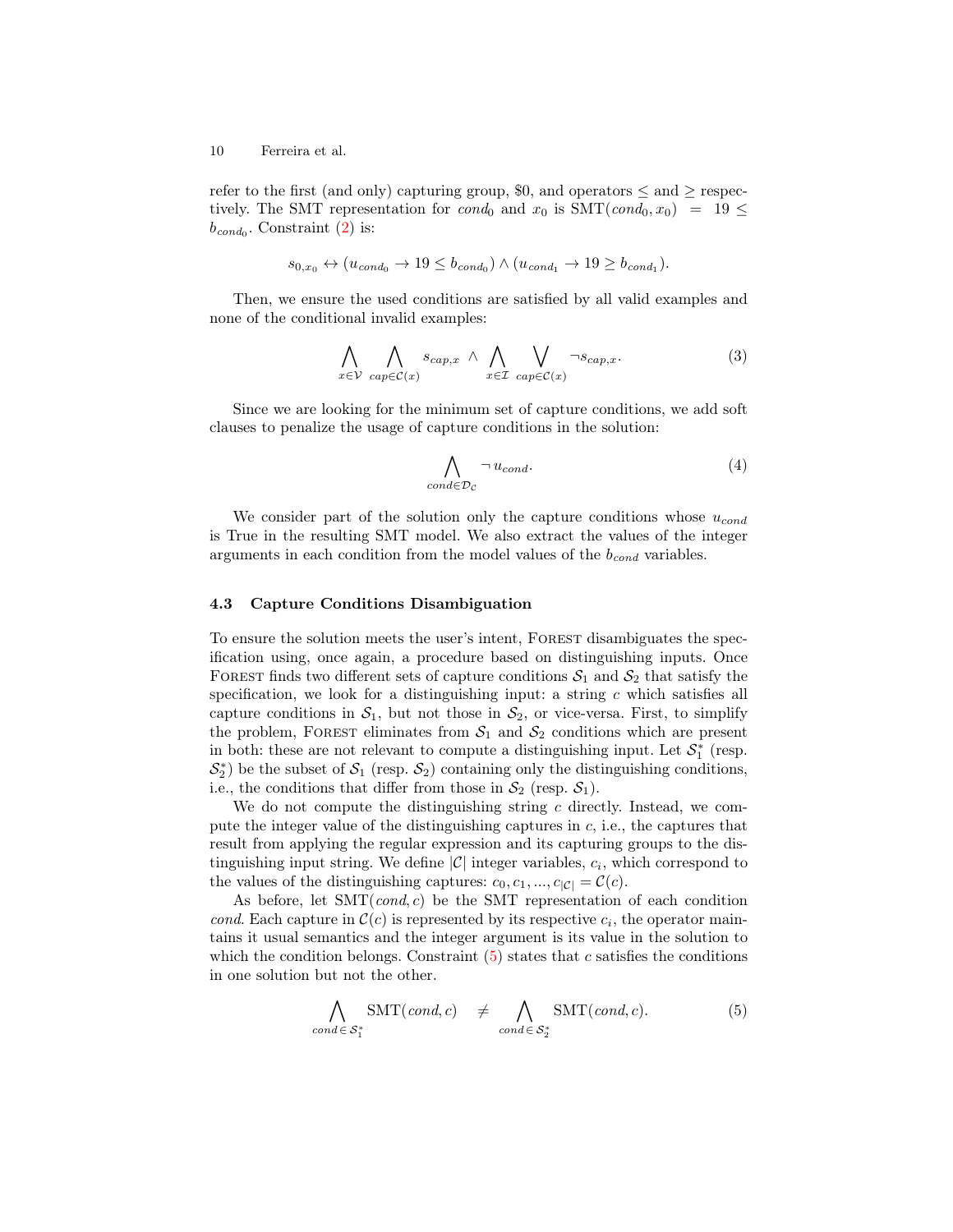refer to the first (and only) capturing group, \$0, and operators  $\leq$  and  $\geq$  respectively. The SMT representation for  $\text{cond}_0$  and  $x_0$  is  $\text{SMT}(\text{cond}_0, x_0) = 19 \leq$  $b_{cond_0}$ . Constraint [\(2\)](#page-8-0) is:

$$
s_{0,x_0} \leftrightarrow (u_{cond_0} \to 19 \le b_{cond_0}) \land (u_{cond_1} \to 19 \ge b_{cond_1}).
$$

Then, we ensure the used conditions are satisfied by all valid examples and none of the conditional invalid examples:

$$
\bigwedge_{x \in \mathcal{V}} \bigwedge_{cap \in \mathcal{C}(x)} s_{cap,x} \land \bigwedge_{x \in \mathcal{I}} \bigvee_{cap \in \mathcal{C}(x)} \neg s_{cap,x}.\tag{3}
$$

Since we are looking for the minimum set of capture conditions, we add soft clauses to penalize the usage of capture conditions in the solution:

$$
\bigwedge_{cond \in \mathcal{D}_{\mathcal{C}}} \neg u_{cond}.\tag{4}
$$

We consider part of the solution only the capture conditions whose  $u_{cond}$ is True in the resulting SMT model. We also extract the values of the integer arguments in each condition from the model values of the  $b_{cond}$  variables.

#### <span id="page-9-0"></span>4.3 Capture Conditions Disambiguation

To ensure the solution meets the user's intent, FOREST disambiguates the specification using, once again, a procedure based on distinguishing inputs. Once FOREST finds two different sets of capture conditions  $S_1$  and  $S_2$  that satisfy the specification, we look for a distinguishing input: a string  $c$  which satisfies all capture conditions in  $S_1$ , but not those in  $S_2$ , or vice-versa. First, to simplify the problem, FOREST eliminates from  $S_1$  and  $S_2$  conditions which are present in both: these are not relevant to compute a distinguishing input. Let  $S_1^*$  (resp.  $S_2^*$ ) be the subset of  $S_1$  (resp.  $S_2$ ) containing only the distinguishing conditions, i.e., the conditions that differ from those in  $\mathcal{S}_2$  (resp.  $\mathcal{S}_1$ ).

We do not compute the distinguishing string  $c$  directly. Instead, we compute the integer value of the distinguishing captures in  $c$ , i.e., the captures that result from applying the regular expression and its capturing groups to the distinguishing input string. We define  $|\mathcal{C}|$  integer variables,  $c_i$ , which correspond to the values of the distinguishing captures:  $c_0, c_1, ..., c_{|\mathcal{C}|} = \mathcal{C}(c)$ .

As before, let  $SMT(cond, c)$  be the SMT representation of each condition cond. Each capture in  $\mathcal{C}(c)$  is represented by its respective  $c_i$ , the operator maintains it usual semantics and the integer argument is its value in the solution to which the condition belongs. Constraint  $(5)$  states that c satisfies the conditions in one solution but not the other.

<span id="page-9-1"></span>
$$
\bigwedge_{cond \in S_1^*} SMT(cond, c) \quad \neq \bigwedge_{cond \in S_2^*} SMT(cond, c). \tag{5}
$$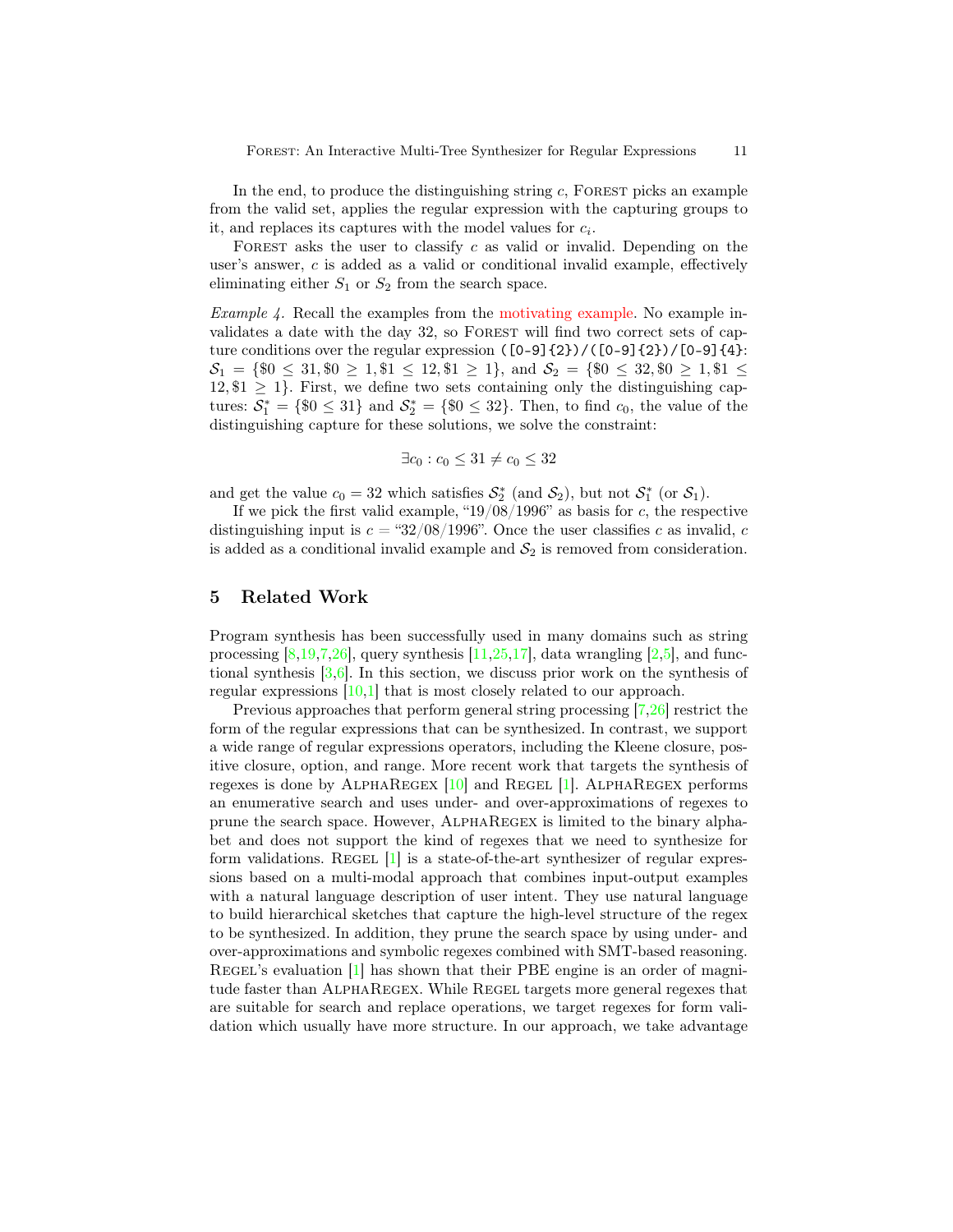In the end, to produce the distinguishing string  $c$ , FOREST picks an example from the valid set, applies the regular expression with the capturing groups to it, and replaces its captures with the model values for  $c_i$ .

FOREST asks the user to classify  $c$  as valid or invalid. Depending on the user's answer,  $c$  is added as a valid or conditional invalid example, effectively eliminating either  $S_1$  or  $S_2$  from the search space.

Example 4. Recall the examples from the [motivating example.](#page-1-0) No example invalidates a date with the day 32, so Forest will find two correct sets of capture conditions over the regular expression  $([0-9] \{2\})/([0-9] \{2\})/[0-9] \{4\}$ :  $\mathcal{S}_1 = \{\$0 \leq 31, \$0 \geq 1, \$1 \leq 12, \$1 \geq 1\}, \text{ and } \mathcal{S}_2 = \{\$0 \leq 32, \$0 \geq 1, \$1 \leq 12, \$1 \leq 12, \$1 \leq 12, \$1 \leq 12, \$1 \leq 12, \$1 \leq 12, \$1 \leq 12, \$1 \leq 12, \$1 \leq 12, \$1 \leq 12, \$1 \leq 12, \$1 \leq 12, \$1 \leq 12, \$1 \leq 12, \$1 \leq 12, \$1 \leq 12$  $12, $1 \geq 1$ . First, we define two sets containing only the distinguishing captures:  $S_1^* = \{\$0 \leq 31\}$  and  $S_2^* = \{\$0 \leq 32\}$ . Then, to find  $c_0$ , the value of the distinguishing capture for these solutions, we solve the constraint:

$$
\exists c_0 : c_0 \le 31 \ne c_0 \le 32
$$

and get the value  $c_0 = 32$  which satisfies  $S_2^*$  (and  $S_2$ ), but not  $S_1^*$  (or  $S_1$ ).

If we pick the first valid example, " $19/08/1996$ " as basis for c, the respective distinguishing input is  $c = \frac{32}{08} \div 1996$ . Once the user classifies c as invalid, c is added as a conditional invalid example and  $S_2$  is removed from consideration.

## <span id="page-10-0"></span>5 Related Work

Program synthesis has been successfully used in many domains such as string processing  $[8,19,7,26]$  $[8,19,7,26]$  $[8,19,7,26]$  $[8,19,7,26]$ , query synthesis  $[11,25,17]$  $[11,25,17]$  $[11,25,17]$ , data wrangling  $[2,5]$  $[2,5]$ , and functional synthesis [\[3,](#page-16-15)[6\]](#page-16-16). In this section, we discuss prior work on the synthesis of regular expressions [\[10,](#page-16-4)[1\]](#page-16-0) that is most closely related to our approach.

Previous approaches that perform general string processing [\[7,](#page-16-3)[26\]](#page-17-1) restrict the form of the regular expressions that can be synthesized. In contrast, we support a wide range of regular expressions operators, including the Kleene closure, positive closure, option, and range. More recent work that targets the synthesis of regexes is done by ALPHAREGEX  $[10]$  and REGEL  $[1]$ . ALPHAREGEX performs an enumerative search and uses under- and over-approximations of regexes to prune the search space. However, AlphaRegex is limited to the binary alphabet and does not support the kind of regexes that we need to synthesize for form validations. REGEL  $[1]$  is a state-of-the-art synthesizer of regular expressions based on a multi-modal approach that combines input-output examples with a natural language description of user intent. They use natural language to build hierarchical sketches that capture the high-level structure of the regex to be synthesized. In addition, they prune the search space by using under- and over-approximations and symbolic regexes combined with SMT-based reasoning. Regel's evaluation [\[1\]](#page-16-0) has shown that their PBE engine is an order of magnitude faster than ALPHAREGEX. While REGEL targets more general regexes that are suitable for search and replace operations, we target regexes for form validation which usually have more structure. In our approach, we take advantage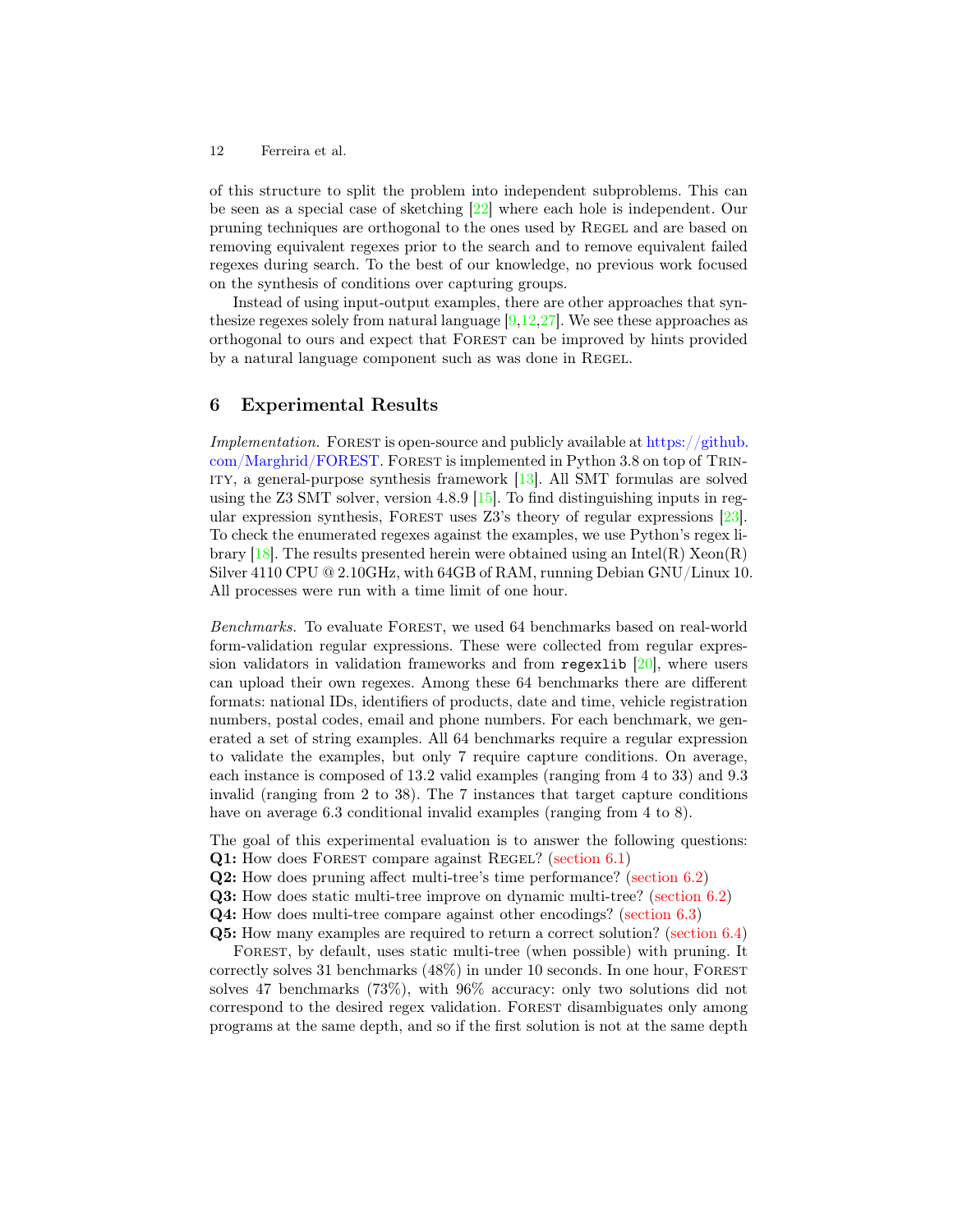of this structure to split the problem into independent subproblems. This can be seen as a special case of sketching [\[22\]](#page-17-5) where each hole is independent. Our pruning techniques are orthogonal to the ones used by Regel and are based on removing equivalent regexes prior to the search and to remove equivalent failed regexes during search. To the best of our knowledge, no previous work focused on the synthesis of conditions over capturing groups.

Instead of using input-output examples, there are other approaches that synthesize regexes solely from natural language  $[9,12,27]$  $[9,12,27]$  $[9,12,27]$ . We see these approaches as orthogonal to ours and expect that Forest can be improved by hints provided by a natural language component such as was done in Regel.

## 6 Experimental Results

Implementation. FOREST is open-source and publicly available at [https://github.](https://github.com/Marghrid/FOREST) [com/Marghrid/FOREST.](https://github.com/Marghrid/FOREST) FOREST is implemented in Python 3.8 on top of TRINity, a general-purpose synthesis framework [\[13\]](#page-16-17). All SMT formulas are solved using the Z3 SMT solver, version 4.8.9 [\[15\]](#page-16-12). To find distinguishing inputs in regular expression synthesis, Forest uses Z3's theory of regular expressions [\[23\]](#page-17-4). To check the enumerated regexes against the examples, we use Python's regex li-brary [\[18\]](#page-16-18). The results presented herein were obtained using an Intel(R)  $Xeon(R)$ Silver 4110 CPU @ 2.10GHz, with 64GB of RAM, running Debian GNU/Linux 10. All processes were run with a time limit of one hour.

Benchmarks. To evaluate Forest, we used 64 benchmarks based on real-world form-validation regular expressions. These were collected from regular expression validators in validation frameworks and from regexlib  $[20]$ , where users can upload their own regexes. Among these 64 benchmarks there are different formats: national IDs, identifiers of products, date and time, vehicle registration numbers, postal codes, email and phone numbers. For each benchmark, we generated a set of string examples. All 64 benchmarks require a regular expression to validate the examples, but only 7 require capture conditions. On average, each instance is composed of 13.2 valid examples (ranging from 4 to 33) and 9.3 invalid (ranging from 2 to 38). The 7 instances that target capture conditions have on average 6.3 conditional invalid examples (ranging from 4 to 8).

The goal of this experimental evaluation is to answer the following questions:

Q1: How does FOREST compare against REGEL? [\(section 6.1\)](#page-13-0)

Q2: How does pruning affect multi-tree's time performance? [\(section 6.2\)](#page-13-1)

Q3: How does static multi-tree improve on dynamic multi-tree? [\(section 6.2\)](#page-13-1)

Q4: How does multi-tree compare against other encodings? [\(section 6.3\)](#page-14-0)

Q5: How many examples are required to return a correct solution? [\(section 6.4\)](#page-15-0)

Forest, by default, uses static multi-tree (when possible) with pruning. It correctly solves 31 benchmarks (48%) in under 10 seconds. In one hour, Forest solves 47 benchmarks (73%), with 96% accuracy: only two solutions did not correspond to the desired regex validation. FOREST disambiguates only among programs at the same depth, and so if the first solution is not at the same depth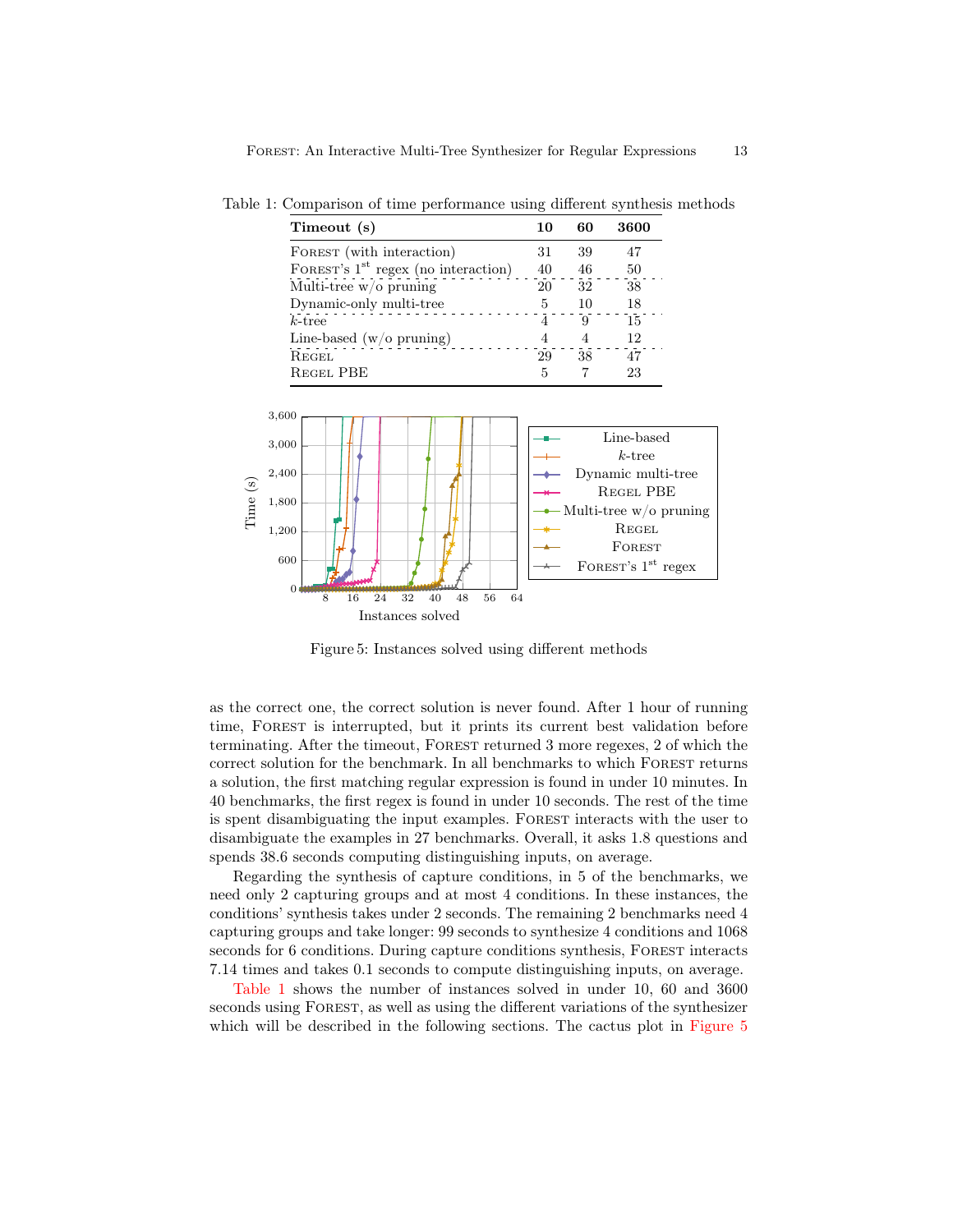<span id="page-12-0"></span>Table 1: Comparison of time performance using different synthesis methods

| Timeout (s)                                     |     | 60             | 3600 |
|-------------------------------------------------|-----|----------------|------|
| FOREST (with interaction)                       | -31 | 39             | 47   |
| FOREST's 1 <sup>st</sup> regex (no interaction) | 40  | 46             | 50   |
| Multi-tree $w/o$ pruning                        | 20  | 32             | 38   |
| Dynamic-only multi-tree                         | 5   | 10             | 18   |
| $k$ -tree                                       | 4   | 9              | 15   |
| Line-based $(w/o~pruning)$                      | 4   | $\overline{4}$ | 12   |
| REGEL                                           | 29  | 38             | 47   |
| REGEL PBE                                       | 5   |                | 23   |

<span id="page-12-1"></span>

Figure 5: Instances solved using different methods

as the correct one, the correct solution is never found. After 1 hour of running time, Forest is interrupted, but it prints its current best validation before terminating. After the timeout, FOREST returned 3 more regexes, 2 of which the correct solution for the benchmark. In all benchmarks to which Forest returns a solution, the first matching regular expression is found in under 10 minutes. In 40 benchmarks, the first regex is found in under 10 seconds. The rest of the time is spent disambiguating the input examples. FOREST interacts with the user to disambiguate the examples in 27 benchmarks. Overall, it asks 1.8 questions and spends 38.6 seconds computing distinguishing inputs, on average.

Regarding the synthesis of capture conditions, in 5 of the benchmarks, we need only 2 capturing groups and at most 4 conditions. In these instances, the conditions' synthesis takes under 2 seconds. The remaining 2 benchmarks need 4 capturing groups and take longer: 99 seconds to synthesize 4 conditions and 1068 seconds for 6 conditions. During capture conditions synthesis, FOREST interacts 7.14 times and takes 0.1 seconds to compute distinguishing inputs, on average.

[Table 1](#page-12-0) shows the number of instances solved in under 10, 60 and 3600 seconds using Forest, as well as using the different variations of the synthesizer which will be described in the following sections. The cactus plot in [Figure 5](#page-12-1)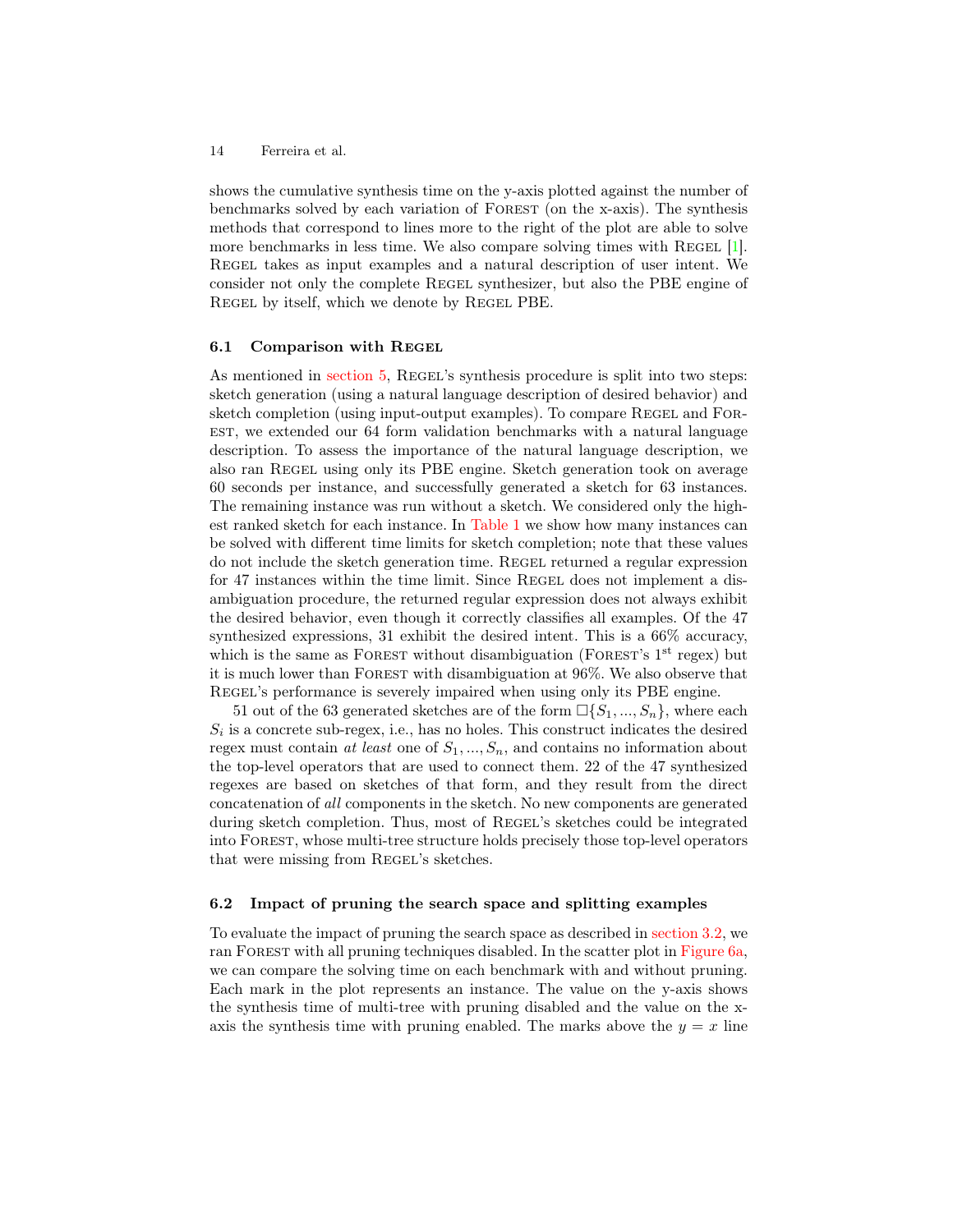shows the cumulative synthesis time on the y-axis plotted against the number of benchmarks solved by each variation of Forest (on the x-axis). The synthesis methods that correspond to lines more to the right of the plot are able to solve more benchmarks in less time. We also compare solving times with REGEL  $[1]$ . Regel takes as input examples and a natural description of user intent. We consider not only the complete Regel synthesizer, but also the PBE engine of Regel by itself, which we denote by Regel PBE.

#### <span id="page-13-0"></span>6.1 Comparison with Regel

As mentioned in [section 5,](#page-10-0) REGEL's synthesis procedure is split into two steps: sketch generation (using a natural language description of desired behavior) and sketch completion (using input-output examples). To compare REGEL and FOR-EST, we extended our 64 form validation benchmarks with a natural language description. To assess the importance of the natural language description, we also ran Regel using only its PBE engine. Sketch generation took on average 60 seconds per instance, and successfully generated a sketch for 63 instances. The remaining instance was run without a sketch. We considered only the highest ranked sketch for each instance. In [Table 1](#page-12-0) we show how many instances can be solved with different time limits for sketch completion; note that these values do not include the sketch generation time. Regel returned a regular expression for 47 instances within the time limit. Since REGEL does not implement a disambiguation procedure, the returned regular expression does not always exhibit the desired behavior, even though it correctly classifies all examples. Of the 47 synthesized expressions, 31 exhibit the desired intent. This is a 66% accuracy, which is the same as FOREST without disambiguation (FOREST's  $1<sup>st</sup>$  regex) but it is much lower than Forest with disambiguation at 96%. We also observe that REGEL's performance is severely impaired when using only its PBE engine.

51 out of the 63 generated sketches are of the form  $\Box \{S_1, ..., S_n\}$ , where each  $S_i$  is a concrete sub-regex, i.e., has no holes. This construct indicates the desired regex must contain at least one of  $S_1, ..., S_n$ , and contains no information about the top-level operators that are used to connect them. 22 of the 47 synthesized regexes are based on sketches of that form, and they result from the direct concatenation of all components in the sketch. No new components are generated during sketch completion. Thus, most of REGEL's sketches could be integrated into Forest, whose multi-tree structure holds precisely those top-level operators that were missing from Regel's sketches.

## <span id="page-13-1"></span>6.2 Impact of pruning the search space and splitting examples

To evaluate the impact of pruning the search space as described in [section 3.2,](#page-6-0) we ran FOREST with all pruning techniques disabled. In the scatter plot in [Figure 6a,](#page-14-1) we can compare the solving time on each benchmark with and without pruning. Each mark in the plot represents an instance. The value on the y-axis shows the synthesis time of multi-tree with pruning disabled and the value on the xaxis the synthesis time with pruning enabled. The marks above the  $y = x$  line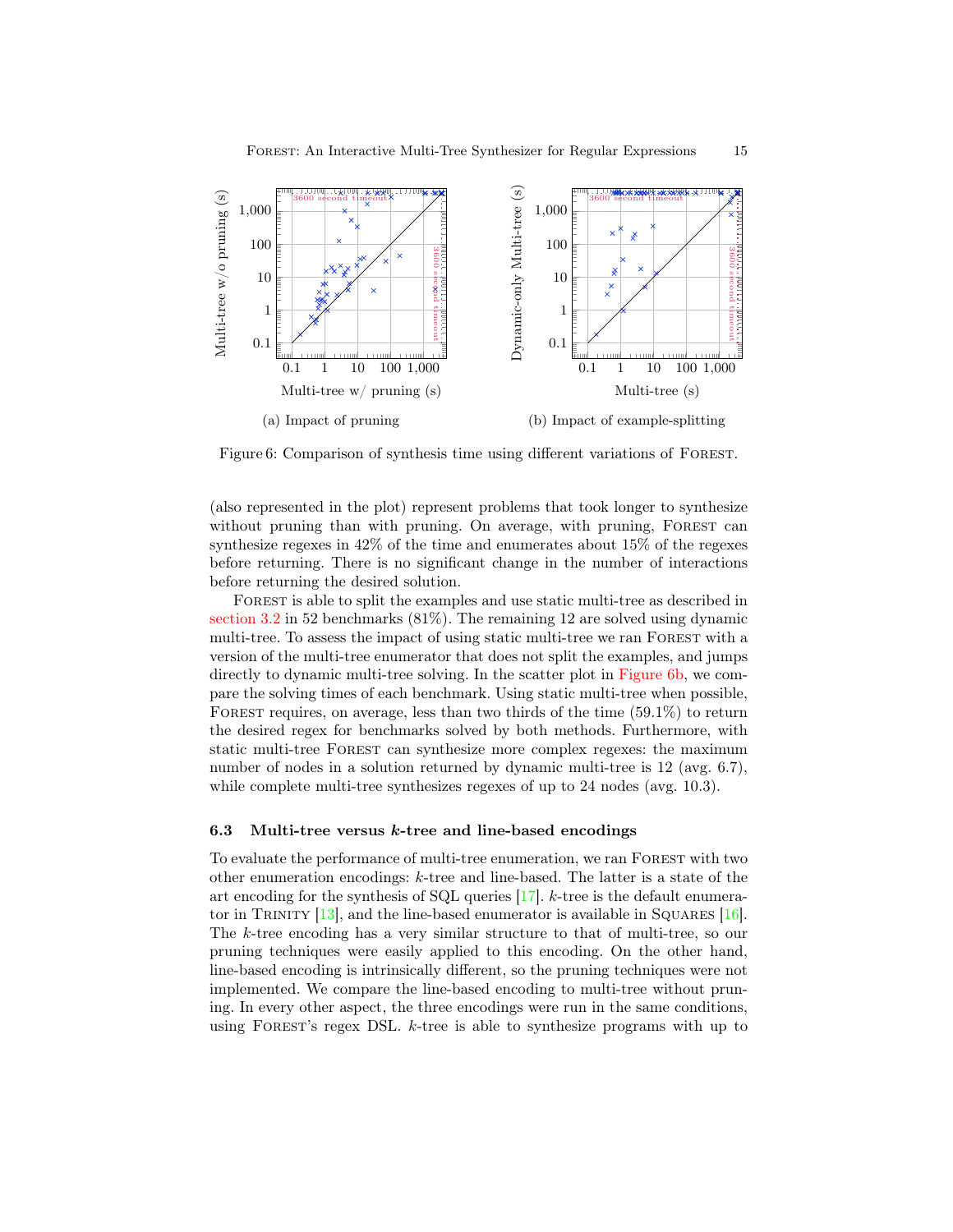<span id="page-14-1"></span>

Figure 6: Comparison of synthesis time using different variations of FOREST.

(also represented in the plot) represent problems that took longer to synthesize without pruning than with pruning. On average, with pruning, FOREST can synthesize regexes in 42% of the time and enumerates about 15% of the regexes before returning. There is no significant change in the number of interactions before returning the desired solution.

Forest is able to split the examples and use static multi-tree as described in [section 3.2](#page-6-1) in 52 benchmarks (81%). The remaining 12 are solved using dynamic multi-tree. To assess the impact of using static multi-tree we ran FOREST with a version of the multi-tree enumerator that does not split the examples, and jumps directly to dynamic multi-tree solving. In the scatter plot in [Figure 6b,](#page-14-1) we compare the solving times of each benchmark. Using static multi-tree when possible, FOREST requires, on average, less than two thirds of the time  $(59.1\%)$  to return the desired regex for benchmarks solved by both methods. Furthermore, with static multi-tree Forest can synthesize more complex regexes: the maximum number of nodes in a solution returned by dynamic multi-tree is 12 (avg. 6.7), while complete multi-tree synthesizes regexes of up to 24 nodes (avg. 10.3).

#### <span id="page-14-0"></span>6.3 Multi-tree versus  $k$ -tree and line-based encodings

To evaluate the performance of multi-tree enumeration, we ran Forest with two other enumeration encodings: k-tree and line-based. The latter is a state of the art encoding for the synthesis of SQL queries [\[17\]](#page-16-7). k-tree is the default enumerator in TRINITY  $[13]$ , and the line-based enumerator is available in SQUARES  $[16]$ . The k-tree encoding has a very similar structure to that of multi-tree, so our pruning techniques were easily applied to this encoding. On the other hand, line-based encoding is intrinsically different, so the pruning techniques were not implemented. We compare the line-based encoding to multi-tree without pruning. In every other aspect, the three encodings were run in the same conditions, using FOREST's regex DSL.  $k$ -tree is able to synthesize programs with up to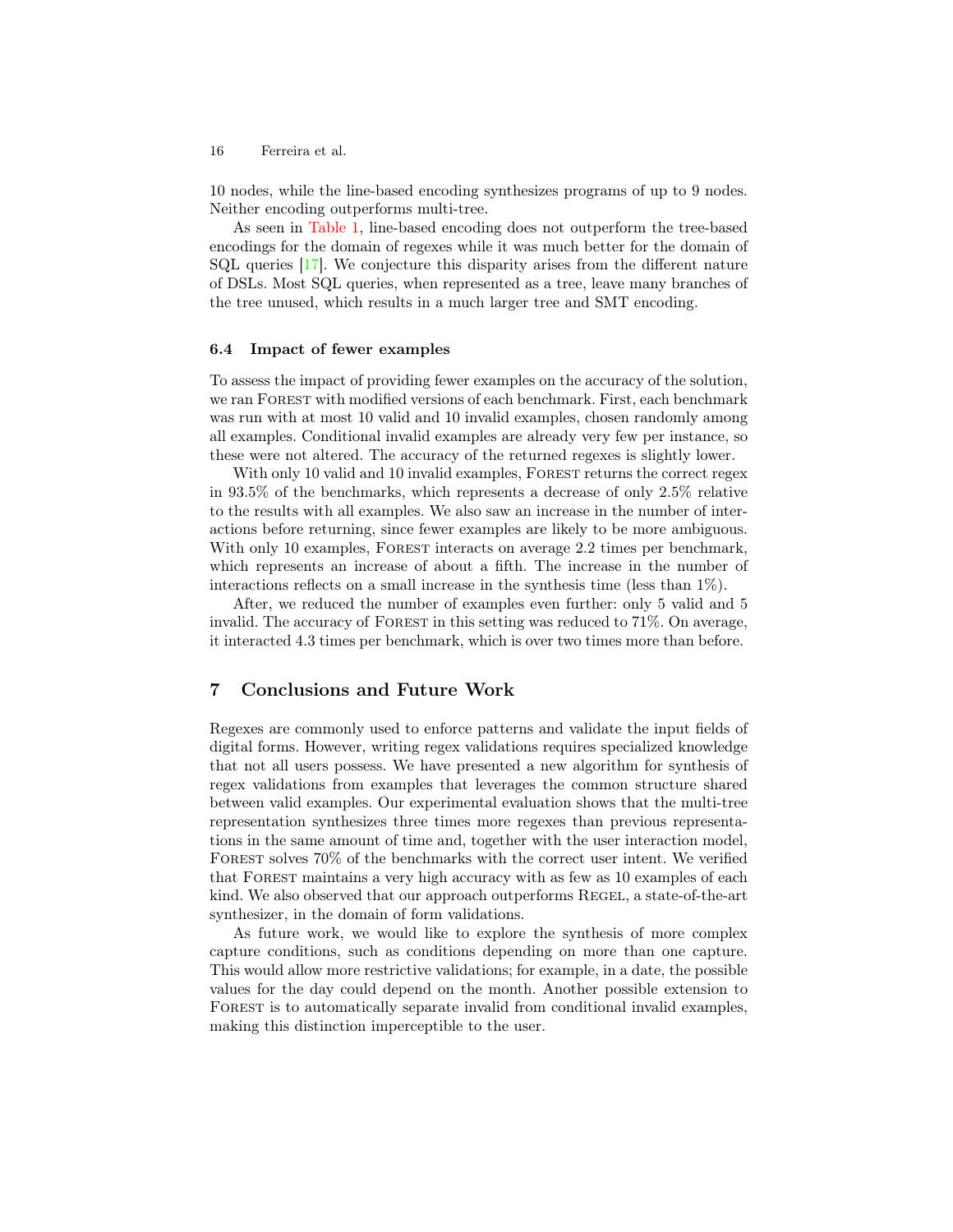10 nodes, while the line-based encoding synthesizes programs of up to 9 nodes. Neither encoding outperforms multi-tree.

As seen in [Table 1,](#page-12-0) line-based encoding does not outperform the tree-based encodings for the domain of regexes while it was much better for the domain of SQL queries [\[17\]](#page-16-7). We conjecture this disparity arises from the different nature of DSLs. Most SQL queries, when represented as a tree, leave many branches of the tree unused, which results in a much larger tree and SMT encoding.

#### <span id="page-15-0"></span>6.4 Impact of fewer examples

To assess the impact of providing fewer examples on the accuracy of the solution, we ran FOREST with modified versions of each benchmark. First, each benchmark was run with at most 10 valid and 10 invalid examples, chosen randomly among all examples. Conditional invalid examples are already very few per instance, so these were not altered. The accuracy of the returned regexes is slightly lower.

With only 10 valid and 10 invalid examples, FOREST returns the correct regex in 93.5% of the benchmarks, which represents a decrease of only 2.5% relative to the results with all examples. We also saw an increase in the number of interactions before returning, since fewer examples are likely to be more ambiguous. With only 10 examples, FOREST interacts on average 2.2 times per benchmark, which represents an increase of about a fifth. The increase in the number of interactions reflects on a small increase in the synthesis time (less than  $1\%$ ).

After, we reduced the number of examples even further: only 5 valid and 5 invalid. The accuracy of FOREST in this setting was reduced to  $71\%$ . On average, it interacted 4.3 times per benchmark, which is over two times more than before.

## 7 Conclusions and Future Work

Regexes are commonly used to enforce patterns and validate the input fields of digital forms. However, writing regex validations requires specialized knowledge that not all users possess. We have presented a new algorithm for synthesis of regex validations from examples that leverages the common structure shared between valid examples. Our experimental evaluation shows that the multi-tree representation synthesizes three times more regexes than previous representations in the same amount of time and, together with the user interaction model, FOREST solves 70% of the benchmarks with the correct user intent. We verified that Forest maintains a very high accuracy with as few as 10 examples of each kind. We also observed that our approach outperforms Regel, a state-of-the-art synthesizer, in the domain of form validations.

As future work, we would like to explore the synthesis of more complex capture conditions, such as conditions depending on more than one capture. This would allow more restrictive validations; for example, in a date, the possible values for the day could depend on the month. Another possible extension to FOREST is to automatically separate invalid from conditional invalid examples, making this distinction imperceptible to the user.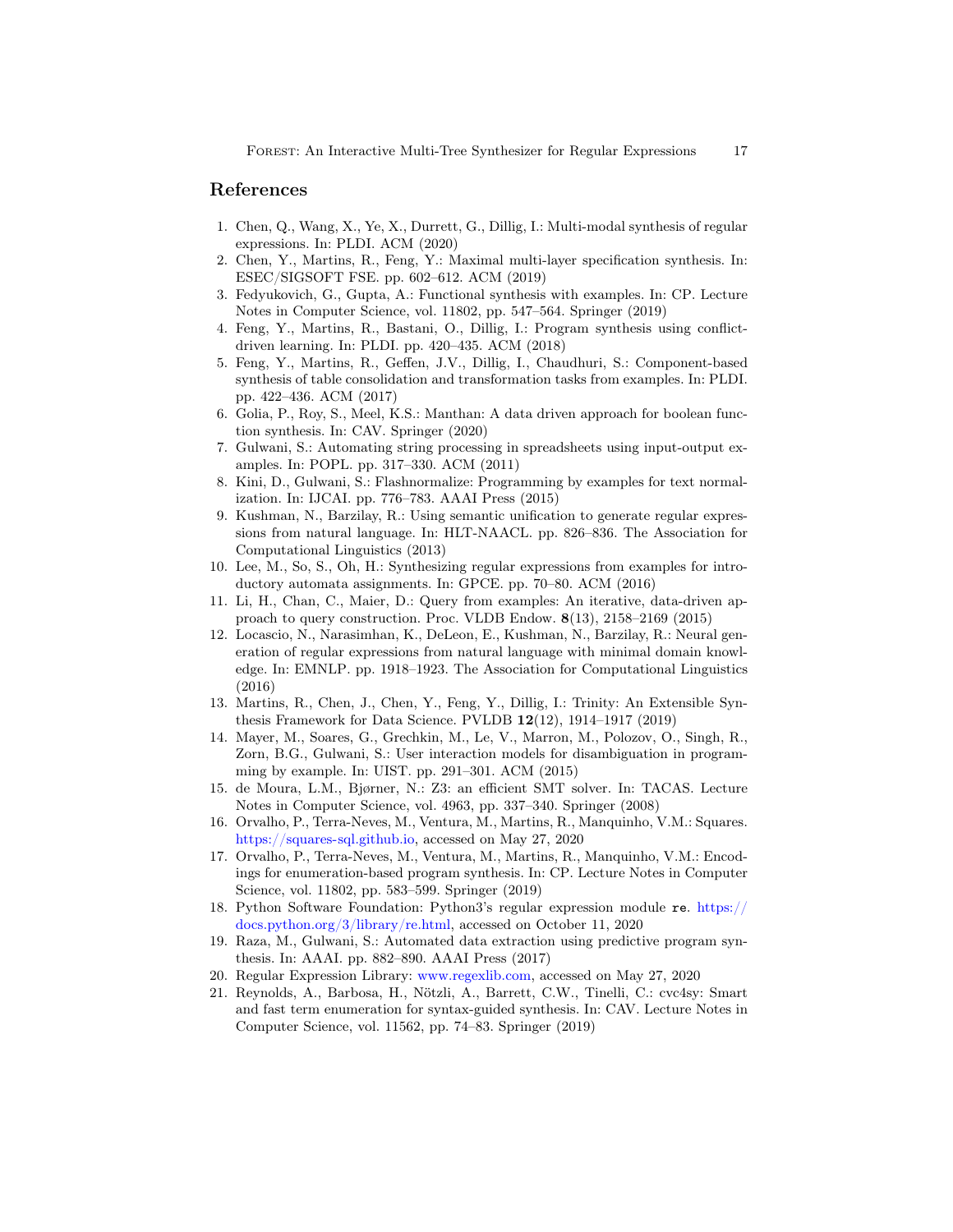## References

- <span id="page-16-0"></span>1. Chen, Q., Wang, X., Ye, X., Durrett, G., Dillig, I.: Multi-modal synthesis of regular expressions. In: PLDI. ACM (2020)
- <span id="page-16-9"></span>2. Chen, Y., Martins, R., Feng, Y.: Maximal multi-layer specification synthesis. In: ESEC/SIGSOFT FSE. pp. 602–612. ACM (2019)
- <span id="page-16-15"></span>3. Fedyukovich, G., Gupta, A.: Functional synthesis with examples. In: CP. Lecture Notes in Computer Science, vol. 11802, pp. 547–564. Springer (2019)
- <span id="page-16-5"></span>4. Feng, Y., Martins, R., Bastani, O., Dillig, I.: Program synthesis using conflictdriven learning. In: PLDI. pp. 420–435. ACM (2018)
- <span id="page-16-6"></span>5. Feng, Y., Martins, R., Geffen, J.V., Dillig, I., Chaudhuri, S.: Component-based synthesis of table consolidation and transformation tasks from examples. In: PLDI. pp. 422–436. ACM (2017)
- <span id="page-16-16"></span>6. Golia, P., Roy, S., Meel, K.S.: Manthan: A data driven approach for boolean function synthesis. In: CAV. Springer (2020)
- <span id="page-16-3"></span>7. Gulwani, S.: Automating string processing in spreadsheets using input-output examples. In: POPL. pp. 317–330. ACM (2011)
- <span id="page-16-13"></span>8. Kini, D., Gulwani, S.: Flashnormalize: Programming by examples for text normalization. In: IJCAI. pp. 776–783. AAAI Press (2015)
- <span id="page-16-1"></span>9. Kushman, N., Barzilay, R.: Using semantic unification to generate regular expressions from natural language. In: HLT-NAACL. pp. 826–836. The Association for Computational Linguistics (2013)
- <span id="page-16-4"></span>10. Lee, M., So, S., Oh, H.: Synthesizing regular expressions from examples for introductory automata assignments. In: GPCE. pp. 70–80. ACM (2016)
- <span id="page-16-10"></span>11. Li, H., Chan, C., Maier, D.: Query from examples: An iterative, data-driven approach to query construction. Proc. VLDB Endow. 8(13), 2158–2169 (2015)
- <span id="page-16-2"></span>12. Locascio, N., Narasimhan, K., DeLeon, E., Kushman, N., Barzilay, R.: Neural generation of regular expressions from natural language with minimal domain knowledge. In: EMNLP. pp. 1918–1923. The Association for Computational Linguistics (2016)
- <span id="page-16-17"></span>13. Martins, R., Chen, J., Chen, Y., Feng, Y., Dillig, I.: Trinity: An Extensible Synthesis Framework for Data Science. PVLDB 12(12), 1914–1917 (2019)
- <span id="page-16-11"></span>14. Mayer, M., Soares, G., Grechkin, M., Le, V., Marron, M., Polozov, O., Singh, R., Zorn, B.G., Gulwani, S.: User interaction models for disambiguation in programming by example. In: UIST. pp. 291–301. ACM (2015)
- <span id="page-16-12"></span>15. de Moura, L.M., Bjørner, N.: Z3: an efficient SMT solver. In: TACAS. Lecture Notes in Computer Science, vol. 4963, pp. 337–340. Springer (2008)
- <span id="page-16-20"></span>16. Orvalho, P., Terra-Neves, M., Ventura, M., Martins, R., Manquinho, V.M.: Squares. [https://squares-sql.github.io,](https://squares-sql.github.io) accessed on May 27, 2020
- <span id="page-16-7"></span>17. Orvalho, P., Terra-Neves, M., Ventura, M., Martins, R., Manquinho, V.M.: Encodings for enumeration-based program synthesis. In: CP. Lecture Notes in Computer Science, vol. 11802, pp. 583–599. Springer (2019)
- <span id="page-16-18"></span>18. Python Software Foundation: Python3's regular expression module re. [https://](https://docs.python.org/3/library/re.html) [docs.python.org/3/library/re.html,](https://docs.python.org/3/library/re.html) accessed on October 11, 2020
- <span id="page-16-14"></span>19. Raza, M., Gulwani, S.: Automated data extraction using predictive program synthesis. In: AAAI. pp. 882–890. AAAI Press (2017)
- <span id="page-16-19"></span>20. Regular Expression Library: [www.regexlib.com,](www.regexlib.com) accessed on May 27, 2020
- <span id="page-16-8"></span>21. Reynolds, A., Barbosa, H., Nötzli, A., Barrett, C.W., Tinelli, C.: cvc4sy: Smart and fast term enumeration for syntax-guided synthesis. In: CAV. Lecture Notes in Computer Science, vol. 11562, pp. 74–83. Springer (2019)